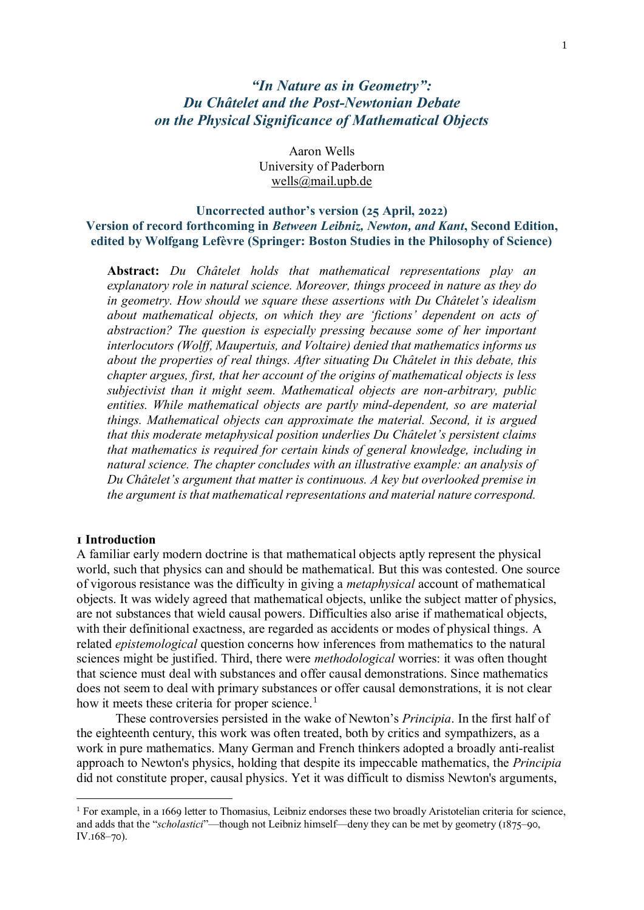# *"In Nature as in Geometry": Du Châtelet and the Post-Newtonian Debate on the Physical Significance of Mathematical Objects*

Aaron Wells University of Paderborn [wells@mail.upb.de](mailto:wells@mail.upb.de)

**Uncorrected author's version (25 April, 2022) Version of record forthcoming in** *Between Leibniz, Newton, and Kant***, Second Edition, edited by Wolfgang Lefèvre (Springer: Boston Studies in the Philosophy of Science)**

**Abstract:** *Du Châtelet holds that mathematical representations play an explanatory role in natural science. Moreover, things proceed in nature as they do in geometry. How should we square these assertions with Du Châtelet's idealism about mathematical objects, on which they are 'fictions' dependent on acts of abstraction? The question is especially pressing because some of her important interlocutors (Wolff, Maupertuis, and Voltaire) denied that mathematics informs us about the properties of real things. After situating Du Châtelet in this debate, this chapter argues, first, that her account of the origins of mathematical objects is less subjectivist than it might seem. Mathematical objects are non-arbitrary, public entities. While mathematical objects are partly mind-dependent, so are material things. Mathematical objects can approximate the material. Second, it is argued that this moderate metaphysical position underlies Du Châtelet's persistent claims that mathematics is required for certain kinds of general knowledge, including in natural science. The chapter concludes with an illustrative example: an analysis of Du Châtelet's argument that matter is continuous. A key but overlooked premise in the argument is that mathematical representations and material nature correspond.*

### **1 Introduction**

1

A familiar early modern doctrine is that mathematical objects aptly represent the physical world, such that physics can and should be mathematical. But this was contested. One source of vigorous resistance was the difficulty in giving a *metaphysical* account of mathematical objects. It was widely agreed that mathematical objects, unlike the subject matter of physics, are not substances that wield causal powers. Difficulties also arise if mathematical objects, with their definitional exactness, are regarded as accidents or modes of physical things. A related *epistemological* question concerns how inferences from mathematics to the natural sciences might be justified. Third, there were *methodological* worries: it was often thought that science must deal with substances and offer causal demonstrations. Since mathematics does not seem to deal with primary substances or offer causal demonstrations, it is not clear how it meets these criteria for proper science.<sup>1</sup>

These controversies persisted in the wake of Newton's *Principia*. In the first half of the eighteenth century, this work was often treated, both by critics and sympathizers, as a work in pure mathematics. Many German and French thinkers adopted a broadly anti-realist approach to Newton's physics, holding that despite its impeccable mathematics, the *Principia* did not constitute proper, causal physics. Yet it was difficult to dismiss Newton's arguments,

 $1$  For example, in a 1669 letter to Thomasius, Leibniz endorses these two broadly Aristotelian criteria for science, and adds that the "*scholastici*"—though not Leibniz himself—deny they can be met by geometry (1875–90, IV.168–70).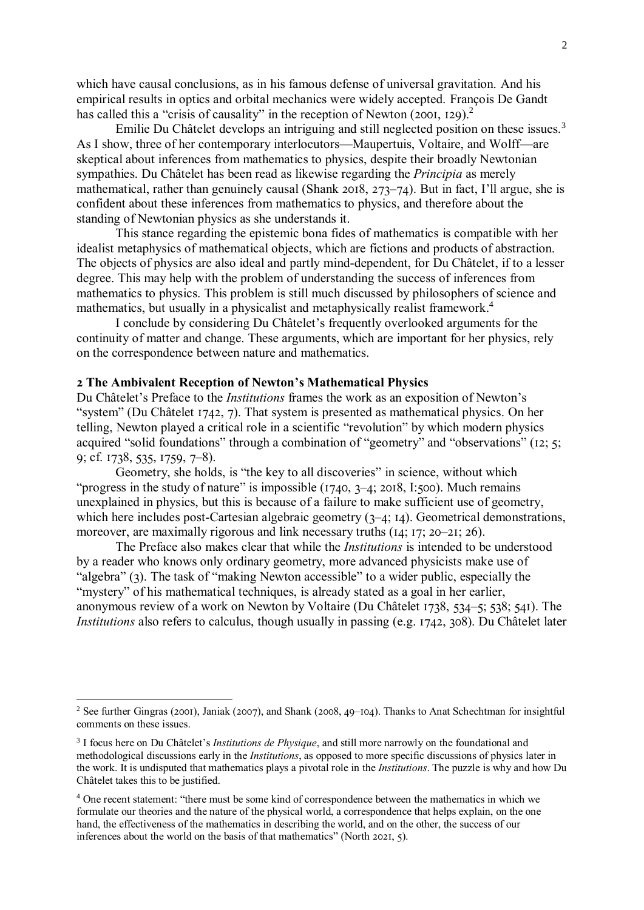which have causal conclusions, as in his famous defense of universal gravitation. And his empirical results in optics and orbital mechanics were widely accepted. François De Gandt has called this a "crisis of causality" in the reception of Newton (2001, 129).<sup>2</sup>

Emilie Du Châtelet develops an intriguing and still neglected position on these issues.<sup>3</sup> As I show, three of her contemporary interlocutors—Maupertuis, Voltaire, and Wolff—are skeptical about inferences from mathematics to physics, despite their broadly Newtonian sympathies. Du Châtelet has been read as likewise regarding the *Principia* as merely mathematical, rather than genuinely causal (Shank 2018, 273–74). But in fact, I'll argue, she is confident about these inferences from mathematics to physics, and therefore about the standing of Newtonian physics as she understands it.

This stance regarding the epistemic bona fides of mathematics is compatible with her idealist metaphysics of mathematical objects, which are fictions and products of abstraction. The objects of physics are also ideal and partly mind-dependent, for Du Châtelet, if to a lesser degree. This may help with the problem of understanding the success of inferences from mathematics to physics. This problem is still much discussed by philosophers of science and mathematics, but usually in a physicalist and metaphysically realist framework.<sup>4</sup>

I conclude by considering Du Châtelet's frequently overlooked arguments for the continuity of matter and change. These arguments, which are important for her physics, rely on the correspondence between nature and mathematics.

#### **2 The Ambivalent Reception of Newton's Mathematical Physics**

<u>.</u>

Du Châtelet's Preface to the *Institutions* frames the work as an exposition of Newton's "system" (Du Châtelet 1742, 7). That system is presented as mathematical physics. On her telling, Newton played a critical role in a scientific "revolution" by which modern physics acquired "solid foundations" through a combination of "geometry" and "observations" (12; 5; 9; cf. 1738, 535, 1759, 7–8).

Geometry, she holds, is "the key to all discoveries" in science, without which "progress in the study of nature" is impossible  $(1740, 3-4; 2018, 1:500)$ . Much remains unexplained in physics, but this is because of a failure to make sufficient use of geometry, which here includes post-Cartesian algebraic geometry (3–4; 14). Geometrical demonstrations, moreover, are maximally rigorous and link necessary truths (14; 17; 20–21; 26).

The Preface also makes clear that while the *Institutions* is intended to be understood by a reader who knows only ordinary geometry, more advanced physicists make use of "algebra" (3). The task of "making Newton accessible" to a wider public, especially the "mystery" of his mathematical techniques, is already stated as a goal in her earlier, anonymous review of a work on Newton by Voltaire (Du Châtelet 1738, 534–5; 538; 541). The *Institutions* also refers to calculus, though usually in passing (e.g. 1742, 308). Du Châtelet later

<sup>&</sup>lt;sup>2</sup> See further Gingras (2001), Janiak (2007), and Shank (2008, 49–104). Thanks to Anat Schechtman for insightful comments on these issues.

<sup>3</sup> I focus here on Du Châtelet's *Institutions de Physique*, and still more narrowly on the foundational and methodological discussions early in the *Institutions*, as opposed to more specific discussions of physics later in the work. It is undisputed that mathematics plays a pivotal role in the *Institutions*. The puzzle is why and how Du Châtelet takes this to be justified.

<sup>4</sup> One recent statement: "there must be some kind of correspondence between the mathematics in which we formulate our theories and the nature of the physical world, a correspondence that helps explain, on the one hand, the effectiveness of the mathematics in describing the world, and on the other, the success of our inferences about the world on the basis of that mathematics" (North 2021, 5).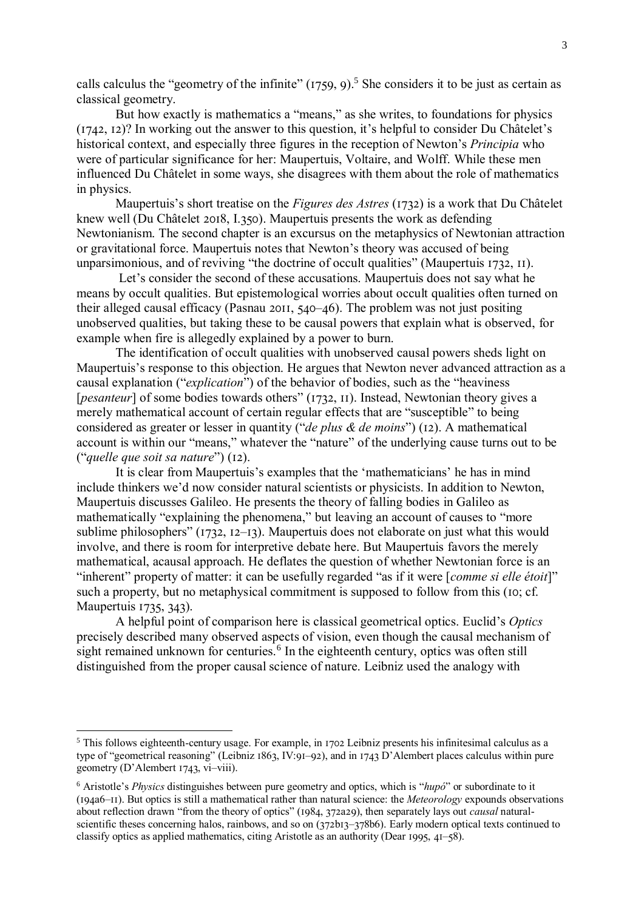calls calculus the "geometry of the infinite"  $(1759, 9)$ .<sup>5</sup> She considers it to be just as certain as classical geometry.

But how exactly is mathematics a "means," as she writes, to foundations for physics (1742, 12)? In working out the answer to this question, it's helpful to consider Du Châtelet's historical context, and especially three figures in the reception of Newton's *Principia* who were of particular significance for her: Maupertuis, Voltaire, and Wolff. While these men influenced Du Châtelet in some ways, she disagrees with them about the role of mathematics in physics.

Maupertuis's short treatise on the *Figures des Astres* (1732) is a work that Du Châtelet knew well (Du Châtelet 2018, I.350). Maupertuis presents the work as defending Newtonianism. The second chapter is an excursus on the metaphysics of Newtonian attraction or gravitational force. Maupertuis notes that Newton's theory was accused of being unparsimonious, and of reviving "the doctrine of occult qualities" (Maupertuis 1732, 11).

Let's consider the second of these accusations. Maupertuis does not say what he means by occult qualities. But epistemological worries about occult qualities often turned on their alleged causal efficacy (Pasnau 2011, 540–46). The problem was not just positing unobserved qualities, but taking these to be causal powers that explain what is observed, for example when fire is allegedly explained by a power to burn.

The identification of occult qualities with unobserved causal powers sheds light on Maupertuis's response to this objection. He argues that Newton never advanced attraction as a causal explanation ("*explication*") of the behavior of bodies, such as the "heaviness [*pesanteur*] of some bodies towards others" (1732, 11). Instead, Newtonian theory gives a merely mathematical account of certain regular effects that are "susceptible" to being considered as greater or lesser in quantity ("*de plus & de moins*") (12). A mathematical account is within our "means," whatever the "nature" of the underlying cause turns out to be ("*quelle que soit sa nature*") (12).

It is clear from Maupertuis's examples that the 'mathematicians' he has in mind include thinkers we'd now consider natural scientists or physicists. In addition to Newton, Maupertuis discusses Galileo. He presents the theory of falling bodies in Galileo as mathematically "explaining the phenomena," but leaving an account of causes to "more sublime philosophers" (1732, 12–13). Maupertuis does not elaborate on just what this would involve, and there is room for interpretive debate here. But Maupertuis favors the merely mathematical, acausal approach. He deflates the question of whether Newtonian force is an "inherent" property of matter: it can be usefully regarded "as if it were [*comme si elle étoit*]" such a property, but no metaphysical commitment is supposed to follow from this (10; cf. Maupertuis 1735, 343).

A helpful point of comparison here is classical geometrical optics. Euclid's *Optics* precisely described many observed aspects of vision, even though the causal mechanism of sight remained unknown for centuries.<sup>6</sup> In the eighteenth century, optics was often still distinguished from the proper causal science of nature. Leibniz used the analogy with

<sup>5</sup> This follows eighteenth-century usage. For example, in 1702 Leibniz presents his infinitesimal calculus as a type of "geometrical reasoning" (Leibniz 1863, IV:91–92), and in 1743 D'Alembert places calculus within pure geometry (D'Alembert 1743, vi–viii).

<sup>6</sup> Aristotle's *Physics* distinguishes between pure geometry and optics, which is "*hupó*" or subordinate to it (194a6–11). But optics is still a mathematical rather than natural science: the *Meteorology* expounds observations about reflection drawn "from the theory of optics" (1984, 372a29), then separately lays out *causal* naturalscientific theses concerning halos, rainbows, and so on (372b13–378b6). Early modern optical texts continued to classify optics as applied mathematics, citing Aristotle as an authority (Dear 1995, 41–58).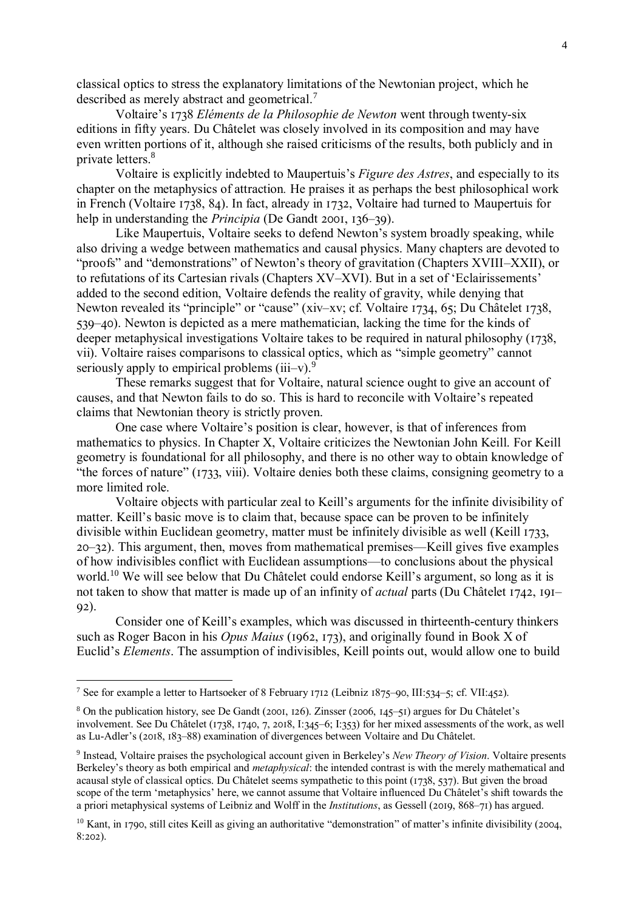classical optics to stress the explanatory limitations of the Newtonian project, which he described as merely abstract and geometrical.<sup>7</sup>

Voltaire's 1738 *Eléments de la Philosophie de Newton* went through twenty-six editions in fifty years. Du Châtelet was closely involved in its composition and may have even written portions of it, although she raised criticisms of the results, both publicly and in private letters. 8

Voltaire is explicitly indebted to Maupertuis's *Figure des Astres*, and especially to its chapter on the metaphysics of attraction*.* He praises it as perhaps the best philosophical work in French (Voltaire 1738, 84). In fact, already in 1732, Voltaire had turned to Maupertuis for help in understanding the *Principia* (De Gandt 2001, 136–39).

Like Maupertuis, Voltaire seeks to defend Newton's system broadly speaking, while also driving a wedge between mathematics and causal physics. Many chapters are devoted to "proofs" and "demonstrations" of Newton's theory of gravitation (Chapters XVIII–XXII), or to refutations of its Cartesian rivals (Chapters XV–XVI). But in a set of 'Eclairissements' added to the second edition, Voltaire defends the reality of gravity, while denying that Newton revealed its "principle" or "cause" (xiv–xv; cf. Voltaire 1734, 65; Du Châtelet 1738, 539–40). Newton is depicted as a mere mathematician, lacking the time for the kinds of deeper metaphysical investigations Voltaire takes to be required in natural philosophy (1738, vii). Voltaire raises comparisons to classical optics, which as "simple geometry" cannot seriously apply to empirical problems  $(iii-v)$ .<sup>9</sup>

These remarks suggest that for Voltaire, natural science ought to give an account of causes, and that Newton fails to do so. This is hard to reconcile with Voltaire's repeated claims that Newtonian theory is strictly proven.

One case where Voltaire's position is clear, however, is that of inferences from mathematics to physics. In Chapter X, Voltaire criticizes the Newtonian John Keill. For Keill geometry is foundational for all philosophy, and there is no other way to obtain knowledge of "the forces of nature" (1733, viii). Voltaire denies both these claims, consigning geometry to a more limited role.

Voltaire objects with particular zeal to Keill's arguments for the infinite divisibility of matter. Keill's basic move is to claim that, because space can be proven to be infinitely divisible within Euclidean geometry, matter must be infinitely divisible as well (Keill 1733, 20–32). This argument, then, moves from mathematical premises—Keill gives five examples of how indivisibles conflict with Euclidean assumptions—to conclusions about the physical world.<sup>10</sup> We will see below that Du Châtelet could endorse Keill's argument, so long as it is not taken to show that matter is made up of an infinity of *actual* parts (Du Châtelet 1742, 191– 92).

Consider one of Keill's examples, which was discussed in thirteenth-century thinkers such as Roger Bacon in his *Opus Maius* (1962, 173), and originally found in Book X of Euclid's *Elements*. The assumption of indivisibles, Keill points out, would allow one to build

<sup>7</sup> See for example a letter to Hartsoeker of 8 February 1712 (Leibniz 1875–90, III:534–5; cf. VII:452).

<sup>8</sup> On the publication history, see De Gandt (2001, 126). Zinsser (2006, 145–51) argues for Du Châtelet's involvement. See Du Châtelet (1738, 1740, 7, 2018, I:345–6; I:353) for her mixed assessments of the work, as well as Lu-Adler's (2018, 183–88) examination of divergences between Voltaire and Du Châtelet.

<sup>9</sup> Instead, Voltaire praises the psychological account given in Berkeley's *New Theory of Vision*. Voltaire presents Berkeley's theory as both empirical and *metaphysical*: the intended contrast is with the merely mathematical and acausal style of classical optics. Du Châtelet seems sympathetic to this point (1738, 537). But given the broad scope of the term 'metaphysics' here, we cannot assume that Voltaire influenced Du Châtelet's shift towards the a priori metaphysical systems of Leibniz and Wolff in the *Institutions*, as Gessell (2019, 868–71) has argued.

 $10$  Kant, in 1790, still cites Keill as giving an authoritative "demonstration" of matter's infinite divisibility (2004, 8:202).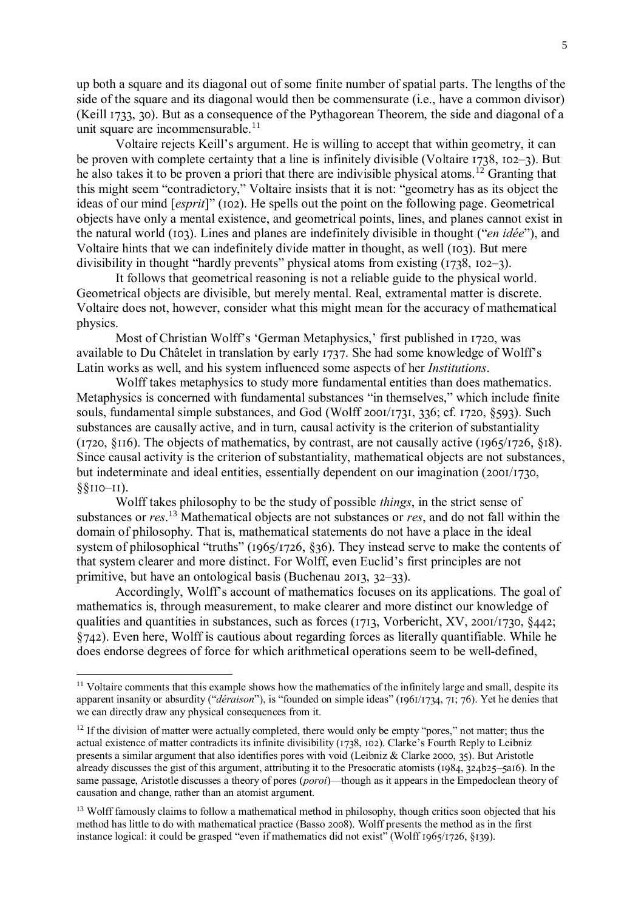up both a square and its diagonal out of some finite number of spatial parts. The lengths of the side of the square and its diagonal would then be commensurate (i.e., have a common divisor) (Keill 1733, 30). But as a consequence of the Pythagorean Theorem, the side and diagonal of a unit square are incommensurable. $11$ 

Voltaire rejects Keill's argument. He is willing to accept that within geometry, it can be proven with complete certainty that a line is infinitely divisible (Voltaire 1738, 102–3). But he also takes it to be proven a priori that there are indivisible physical atoms.<sup>12</sup> Granting that this might seem "contradictory," Voltaire insists that it is not: "geometry has as its object the ideas of our mind [*esprit*]" (102). He spells out the point on the following page. Geometrical objects have only a mental existence, and geometrical points, lines, and planes cannot exist in the natural world (103). Lines and planes are indefinitely divisible in thought ("*en idée*"), and Voltaire hints that we can indefinitely divide matter in thought, as well (103). But mere divisibility in thought "hardly prevents" physical atoms from existing (1738, 102–3).

It follows that geometrical reasoning is not a reliable guide to the physical world. Geometrical objects are divisible, but merely mental. Real, extramental matter is discrete. Voltaire does not, however, consider what this might mean for the accuracy of mathematical physics.

Most of Christian Wolff's 'German Metaphysics,' first published in 1720, was available to Du Châtelet in translation by early 1737. She had some knowledge of Wolff's Latin works as well, and his system influenced some aspects of her *Institutions*.

Wolff takes metaphysics to study more fundamental entities than does mathematics. Metaphysics is concerned with fundamental substances "in themselves," which include finite souls, fundamental simple substances, and God (Wolff 2001/1731, 336; cf. 1720, §593). Such substances are causally active, and in turn, causal activity is the criterion of substantiality (1720, §116). The objects of mathematics, by contrast, are not causally active (1965/1726, §18). Since causal activity is the criterion of substantiality, mathematical objects are not substances, but indeterminate and ideal entities, essentially dependent on our imagination (2001/1730, §§110–11).

Wolff takes philosophy to be the study of possible *things*, in the strict sense of substances or *res*. <sup>13</sup> Mathematical objects are not substances or *res*, and do not fall within the domain of philosophy. That is, mathematical statements do not have a place in the ideal system of philosophical "truths" (1965/1726, §36). They instead serve to make the contents of that system clearer and more distinct. For Wolff, even Euclid's first principles are not primitive, but have an ontological basis (Buchenau 2013, 32–33).

Accordingly, Wolff's account of mathematics focuses on its applications. The goal of mathematics is, through measurement, to make clearer and more distinct our knowledge of qualities and quantities in substances, such as forces (1713, Vorbericht, XV, 2001/1730, §442; §742). Even here, Wolff is cautious about regarding forces as literally quantifiable. While he does endorse degrees of force for which arithmetical operations seem to be well-defined,

<sup>&</sup>lt;sup>11</sup> Voltaire comments that this example shows how the mathematics of the infinitely large and small, despite its apparent insanity or absurdity ("*déraison*"), is "founded on simple ideas" (1961/1734, 71; 76). Yet he denies that we can directly draw any physical consequences from it.

 $12$  If the division of matter were actually completed, there would only be empty "pores," not matter; thus the actual existence of matter contradicts its infinite divisibility (1738, 102). Clarke's Fourth Reply to Leibniz presents a similar argument that also identifies pores with void (Leibniz & Clarke 2000, 35). But Aristotle already discusses the gist of this argument, attributing it to the Presocratic atomists (1984, 324b25–5a16). In the same passage, Aristotle discusses a theory of pores (*poroi*)—though as it appears in the Empedoclean theory of causation and change, rather than an atomist argument.

<sup>&</sup>lt;sup>13</sup> Wolff famously claims to follow a mathematical method in philosophy, though critics soon objected that his method has little to do with mathematical practice (Basso 2008). Wolff presents the method as in the first instance logical: it could be grasped "even if mathematics did not exist" (Wolff 1965/1726, §139).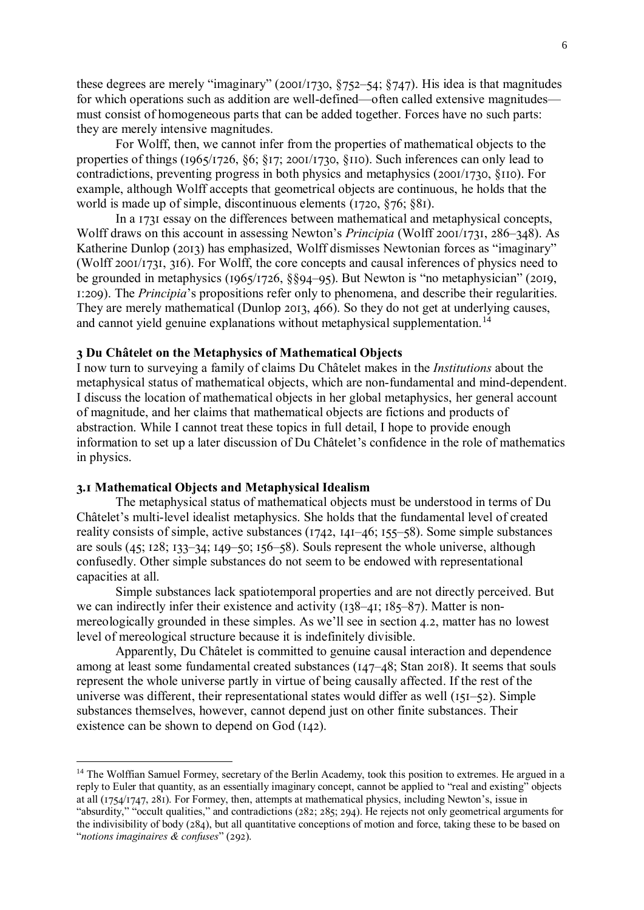these degrees are merely "imaginary" (2001/1730, §752–54; §747). His idea is that magnitudes for which operations such as addition are well-defined—often called extensive magnitudes must consist of homogeneous parts that can be added together. Forces have no such parts: they are merely intensive magnitudes.

For Wolff, then, we cannot infer from the properties of mathematical objects to the properties of things (1965/1726, §6; §17; 2001/1730, §110). Such inferences can only lead to contradictions, preventing progress in both physics and metaphysics (2001/1730, §110). For example, although Wolff accepts that geometrical objects are continuous, he holds that the world is made up of simple, discontinuous elements (1720, §76; §81).

In a 1731 essay on the differences between mathematical and metaphysical concepts, Wolff draws on this account in assessing Newton's *Principia* (Wolff 2001/1731, 286–348). As Katherine Dunlop (2013) has emphasized, Wolff dismisses Newtonian forces as "imaginary" (Wolff 2001/1731, 316). For Wolff, the core concepts and causal inferences of physics need to be grounded in metaphysics (1965/1726, §§94–95). But Newton is "no metaphysician" (2019, 1:209). The *Principia*'s propositions refer only to phenomena, and describe their regularities. They are merely mathematical (Dunlop 2013, 466). So they do not get at underlying causes, and cannot yield genuine explanations without metaphysical supplementation.<sup>14</sup>

## **3 Du Châtelet on the Metaphysics of Mathematical Objects**

I now turn to surveying a family of claims Du Châtelet makes in the *Institutions* about the metaphysical status of mathematical objects, which are non-fundamental and mind-dependent. I discuss the location of mathematical objects in her global metaphysics, her general account of magnitude, and her claims that mathematical objects are fictions and products of abstraction. While I cannot treat these topics in full detail, I hope to provide enough information to set up a later discussion of Du Châtelet's confidence in the role of mathematics in physics.

#### **3.1 Mathematical Objects and Metaphysical Idealism**

<u>.</u>

The metaphysical status of mathematical objects must be understood in terms of Du Châtelet's multi-level idealist metaphysics. She holds that the fundamental level of created reality consists of simple, active substances (1742, 141–46; 155–58). Some simple substances are souls (45; 128; 133–34; 149–50; 156–58). Souls represent the whole universe, although confusedly. Other simple substances do not seem to be endowed with representational capacities at all.

Simple substances lack spatiotemporal properties and are not directly perceived. But we can indirectly infer their existence and activity (138–41; 185–87). Matter is nonmereologically grounded in these simples. As we'll see in section 4.2, matter has no lowest level of mereological structure because it is indefinitely divisible.

Apparently, Du Châtelet is committed to genuine causal interaction and dependence among at least some fundamental created substances (147–48; Stan 2018). It seems that souls represent the whole universe partly in virtue of being causally affected. If the rest of the universe was different, their representational states would differ as well (151–52). Simple substances themselves, however, cannot depend just on other finite substances. Their existence can be shown to depend on God (142).

<sup>&</sup>lt;sup>14</sup> The Wolffian Samuel Formey, secretary of the Berlin Academy, took this position to extremes. He argued in a reply to Euler that quantity, as an essentially imaginary concept, cannot be applied to "real and existing" objects at all (1754/1747, 281). For Formey, then, attempts at mathematical physics, including Newton's, issue in "absurdity," "occult qualities," and contradictions (282; 285; 294). He rejects not only geometrical arguments for the indivisibility of body (284), but all quantitative conceptions of motion and force, taking these to be based on "*notions imaginaires & confuses*" (292).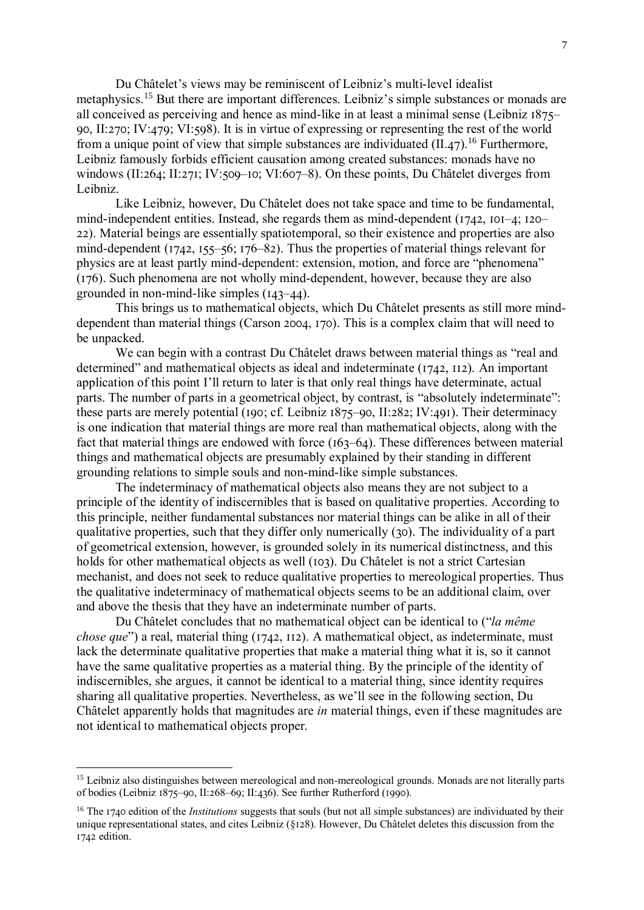Du Châtelet's views may be reminiscent of Leibniz's multi-level idealist metaphysics.<sup>15</sup> But there are important differences. Leibniz's simple substances or monads are all conceived as perceiving and hence as mind-like in at least a minimal sense (Leibniz 1875– 90, II:270; IV:479; VI:598). It is in virtue of expressing or representing the rest of the world from a unique point of view that simple substances are individuated  $(II.47)$ <sup>16</sup> Furthermore, Leibniz famously forbids efficient causation among created substances: monads have no windows (II:264; II:271; IV:509–10; VI:607–8). On these points, Du Châtelet diverges from Leibniz.

Like Leibniz, however, Du Châtelet does not take space and time to be fundamental, mind-independent entities. Instead, she regards them as mind-dependent (1742, 101–4; 120– 22). Material beings are essentially spatiotemporal, so their existence and properties are also mind-dependent (1742, 155–56; 176–82). Thus the properties of material things relevant for physics are at least partly mind-dependent: extension, motion, and force are "phenomena" (176). Such phenomena are not wholly mind-dependent, however, because they are also grounded in non-mind-like simples (143–44).

This brings us to mathematical objects, which Du Châtelet presents as still more minddependent than material things (Carson 2004, 170). This is a complex claim that will need to be unpacked.

We can begin with a contrast Du Châtelet draws between material things as "real and determined" and mathematical objects as ideal and indeterminate (1742, 112). An important application of this point I'll return to later is that only real things have determinate, actual parts. The number of parts in a geometrical object, by contrast, is "absolutely indeterminate": these parts are merely potential (190; cf. Leibniz 1875–90, II:282; IV:491). Their determinacy is one indication that material things are more real than mathematical objects, along with the fact that material things are endowed with force (163–64). These differences between material things and mathematical objects are presumably explained by their standing in different grounding relations to simple souls and non-mind-like simple substances.

The indeterminacy of mathematical objects also means they are not subject to a principle of the identity of indiscernibles that is based on qualitative properties. According to this principle, neither fundamental substances nor material things can be alike in all of their qualitative properties, such that they differ only numerically (30). The individuality of a part of geometrical extension, however, is grounded solely in its numerical distinctness, and this holds for other mathematical objects as well (103). Du Châtelet is not a strict Cartesian mechanist, and does not seek to reduce qualitative properties to mereological properties. Thus the qualitative indeterminacy of mathematical objects seems to be an additional claim, over and above the thesis that they have an indeterminate number of parts.

Du Châtelet concludes that no mathematical object can be identical to ("*la même chose que*") a real, material thing (1742, 112). A mathematical object, as indeterminate, must lack the determinate qualitative properties that make a material thing what it is, so it cannot have the same qualitative properties as a material thing. By the principle of the identity of indiscernibles, she argues, it cannot be identical to a material thing, since identity requires sharing all qualitative properties. Nevertheless, as we'll see in the following section, Du Châtelet apparently holds that magnitudes are *in* material things, even if these magnitudes are not identical to mathematical objects proper.

<sup>&</sup>lt;sup>15</sup> Leibniz also distinguishes between mereological and non-mereological grounds. Monads are not literally parts of bodies (Leibniz 1875–90, II:268–69; II:436). See further Rutherford (1990).

<sup>&</sup>lt;sup>16</sup> The 1740 edition of the *Institutions* suggests that souls (but not all simple substances) are individuated by their unique representational states, and cites Leibniz (§128). However, Du Châtelet deletes this discussion from the 1742 edition.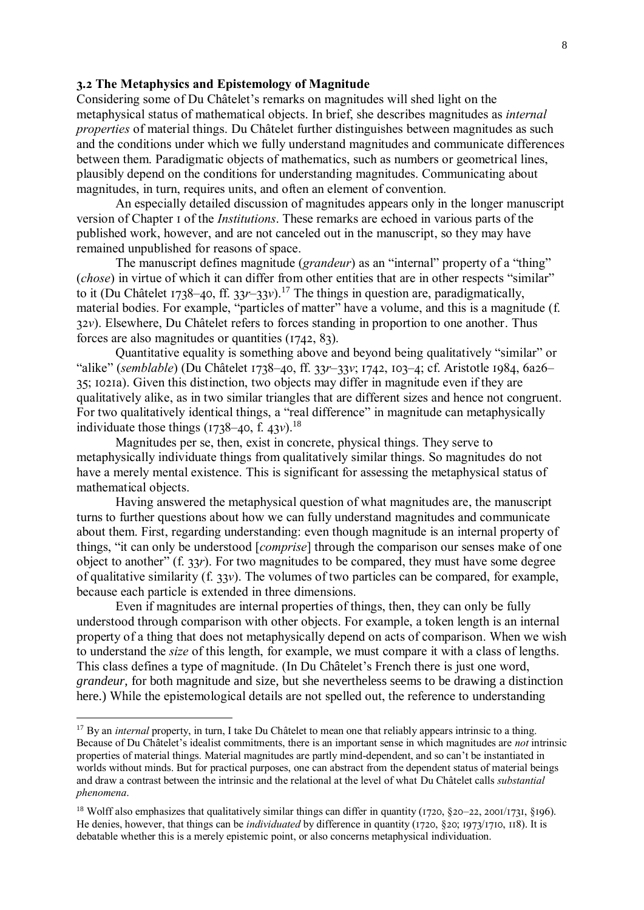# **3.2 The Metaphysics and Epistemology of Magnitude**

Considering some of Du Châtelet's remarks on magnitudes will shed light on the metaphysical status of mathematical objects. In brief, she describes magnitudes as *internal properties* of material things. Du Châtelet further distinguishes between magnitudes as such and the conditions under which we fully understand magnitudes and communicate differences between them. Paradigmatic objects of mathematics, such as numbers or geometrical lines, plausibly depend on the conditions for understanding magnitudes. Communicating about magnitudes, in turn, requires units, and often an element of convention.

An especially detailed discussion of magnitudes appears only in the longer manuscript version of Chapter 1 of the *Institutions*. These remarks are echoed in various parts of the published work, however, and are not canceled out in the manuscript, so they may have remained unpublished for reasons of space.

The manuscript defines magnitude (*grandeur*) as an "internal" property of a "thing" (*chose*) in virtue of which it can differ from other entities that are in other respects "similar" to it (Du Châtelet 1738–40, ff. 33*r*–33*v*).<sup>17</sup> The things in question are, paradigmatically, material bodies. For example, "particles of matter" have a volume, and this is a magnitude (f. 32*v*). Elsewhere, Du Châtelet refers to forces standing in proportion to one another. Thus forces are also magnitudes or quantities (1742, 83).

Quantitative equality is something above and beyond being qualitatively "similar" or "alike" (*semblable*) (Du Châtelet 1738–40, ff. 33*r*–33*v*; 1742, 103–4; cf. Aristotle 1984, 6a26– 35; 1021a). Given this distinction, two objects may differ in magnitude even if they are qualitatively alike, as in two similar triangles that are different sizes and hence not congruent. For two qualitatively identical things, a "real difference" in magnitude can metaphysically individuate those things (1738–40, f. 43*v*). 18

Magnitudes per se, then, exist in concrete, physical things. They serve to metaphysically individuate things from qualitatively similar things. So magnitudes do not have a merely mental existence. This is significant for assessing the metaphysical status of mathematical objects.

Having answered the metaphysical question of what magnitudes are, the manuscript turns to further questions about how we can fully understand magnitudes and communicate about them. First, regarding understanding: even though magnitude is an internal property of things, "it can only be understood [*comprise*] through the comparison our senses make of one object to another" (f. 33*r*). For two magnitudes to be compared, they must have some degree of qualitative similarity (f. 33*v*). The volumes of two particles can be compared, for example, because each particle is extended in three dimensions.

Even if magnitudes are internal properties of things, then, they can only be fully understood through comparison with other objects. For example, a token length is an internal property of a thing that does not metaphysically depend on acts of comparison. When we wish to understand the *size* of this length, for example, we must compare it with a class of lengths. This class defines a type of magnitude. (In Du Châtelet's French there is just one word, *grandeur*, for both magnitude and size, but she nevertheless seems to be drawing a distinction here.) While the epistemological details are not spelled out, the reference to understanding

<u>.</u>

<sup>&</sup>lt;sup>17</sup> By an *internal* property, in turn, I take Du Châtelet to mean one that reliably appears intrinsic to a thing. Because of Du Châtelet's idealist commitments, there is an important sense in which magnitudes are *not* intrinsic properties of material things. Material magnitudes are partly mind-dependent, and so can't be instantiated in worlds without minds. But for practical purposes, one can abstract from the dependent status of material beings and draw a contrast between the intrinsic and the relational at the level of what Du Châtelet calls *substantial phenomena*.

<sup>&</sup>lt;sup>18</sup> Wolff also emphasizes that qualitatively similar things can differ in quantity (1720,  $\&20-22$ , 2001/1731,  $\&196$ ). He denies, however, that things can be *individuated* by difference in quantity (1720, §20; 1973/1710, 118). It is debatable whether this is a merely epistemic point, or also concerns metaphysical individuation.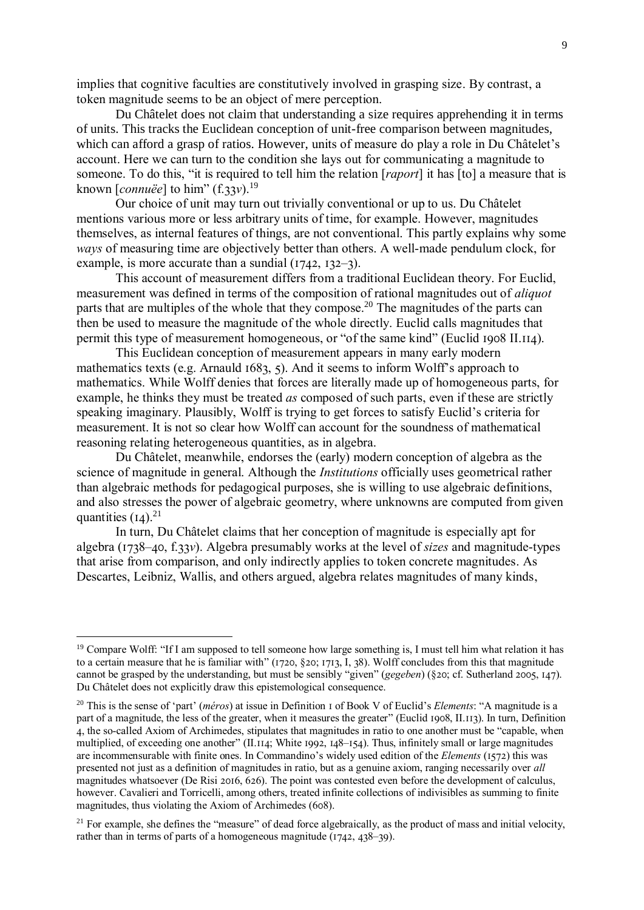implies that cognitive faculties are constitutively involved in grasping size. By contrast, a token magnitude seems to be an object of mere perception.

Du Châtelet does not claim that understanding a size requires apprehending it in terms of units. This tracks the Euclidean conception of unit-free comparison between magnitudes, which can afford a grasp of ratios. However, units of measure do play a role in Du Châtelet's account. Here we can turn to the condition she lays out for communicating a magnitude to someone. To do this, "it is required to tell him the relation [*raport*] it has [to] a measure that is known [*connuëe*] to him" (f.33*v*).<sup>19</sup>

Our choice of unit may turn out trivially conventional or up to us. Du Châtelet mentions various more or less arbitrary units of time, for example. However, magnitudes themselves, as internal features of things, are not conventional. This partly explains why some *ways* of measuring time are objectively better than others. A well-made pendulum clock, for example, is more accurate than a sundial (1742, 132–3).

This account of measurement differs from a traditional Euclidean theory. For Euclid, measurement was defined in terms of the composition of rational magnitudes out of *aliquot* parts that are multiples of the whole that they compose.<sup>20</sup> The magnitudes of the parts can then be used to measure the magnitude of the whole directly. Euclid calls magnitudes that permit this type of measurement homogeneous, or "of the same kind" (Euclid 1908 II.114).

This Euclidean conception of measurement appears in many early modern mathematics texts (e.g. Arnauld 1683, 5). And it seems to inform Wolff's approach to mathematics. While Wolff denies that forces are literally made up of homogeneous parts, for example, he thinks they must be treated *as* composed of such parts, even if these are strictly speaking imaginary. Plausibly, Wolff is trying to get forces to satisfy Euclid's criteria for measurement. It is not so clear how Wolff can account for the soundness of mathematical reasoning relating heterogeneous quantities, as in algebra.

Du Châtelet, meanwhile, endorses the (early) modern conception of algebra as the science of magnitude in general. Although the *Institutions* officially uses geometrical rather than algebraic methods for pedagogical purposes, she is willing to use algebraic definitions, and also stresses the power of algebraic geometry, where unknowns are computed from given quantities  $(I_4)$ .<sup>21</sup>

In turn, Du Châtelet claims that her conception of magnitude is especially apt for algebra (1738–40, f.33*v*). Algebra presumably works at the level of *sizes* and magnitude-types that arise from comparison, and only indirectly applies to token concrete magnitudes. As Descartes, Leibniz, Wallis, and others argued, algebra relates magnitudes of many kinds,

<sup>&</sup>lt;sup>19</sup> Compare Wolff: "If I am supposed to tell someone how large something is, I must tell him what relation it has to a certain measure that he is familiar with" (1720, §20; 1713, I, 38). Wolff concludes from this that magnitude cannot be grasped by the understanding, but must be sensibly "given" (*gegeben*) (§20; cf. Sutherland 2005, 147). Du Châtelet does not explicitly draw this epistemological consequence.

<sup>20</sup> This is the sense of 'part' (*méros*) at issue in Definition 1 of Book V of Euclid's *Elements*: "A magnitude is a part of a magnitude, the less of the greater, when it measures the greater" (Euclid 1908, II.113). In turn, Definition 4, the so-called Axiom of Archimedes, stipulates that magnitudes in ratio to one another must be "capable, when multiplied, of exceeding one another" (II.114; White 1992, 148–154). Thus, infinitely small or large magnitudes are incommensurable with finite ones. In Commandino's widely used edition of the *Elements* (1572) this was presented not just as a definition of magnitudes in ratio, but as a genuine axiom, ranging necessarily over *all* magnitudes whatsoever (De Risi 2016, 626). The point was contested even before the development of calculus, however. Cavalieri and Torricelli, among others, treated infinite collections of indivisibles as summing to finite magnitudes, thus violating the Axiom of Archimedes (608).

 $21$  For example, she defines the "measure" of dead force algebraically, as the product of mass and initial velocity, rather than in terms of parts of a homogeneous magnitude (1742, 438–39).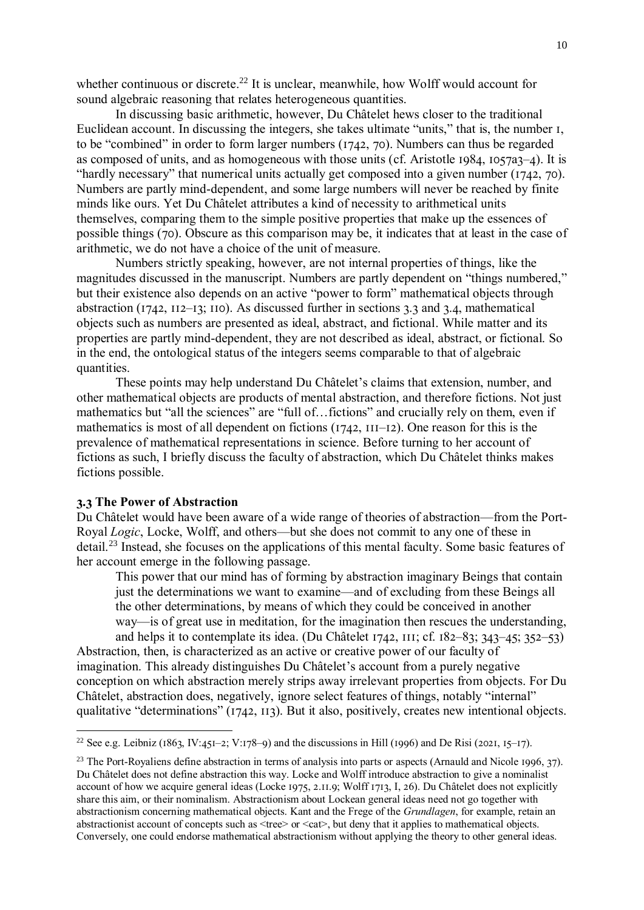whether continuous or discrete.<sup>22</sup> It is unclear, meanwhile, how Wolff would account for sound algebraic reasoning that relates heterogeneous quantities.

In discussing basic arithmetic, however, Du Châtelet hews closer to the traditional Euclidean account. In discussing the integers, she takes ultimate "units," that is, the number 1, to be "combined" in order to form larger numbers (1742, 70). Numbers can thus be regarded as composed of units, and as homogeneous with those units (cf. Aristotle 1984, 1057a3–4). It is "hardly necessary" that numerical units actually get composed into a given number (1742, 70). Numbers are partly mind-dependent, and some large numbers will never be reached by finite minds like ours. Yet Du Châtelet attributes a kind of necessity to arithmetical units themselves, comparing them to the simple positive properties that make up the essences of possible things (70). Obscure as this comparison may be, it indicates that at least in the case of arithmetic, we do not have a choice of the unit of measure.

Numbers strictly speaking, however, are not internal properties of things, like the magnitudes discussed in the manuscript. Numbers are partly dependent on "things numbered," but their existence also depends on an active "power to form" mathematical objects through abstraction (1742, 112–13; 110). As discussed further in sections 3.3 and 3.4, mathematical objects such as numbers are presented as ideal, abstract, and fictional. While matter and its properties are partly mind-dependent, they are not described as ideal, abstract, or fictional. So in the end, the ontological status of the integers seems comparable to that of algebraic quantities.

These points may help understand Du Châtelet's claims that extension, number, and other mathematical objects are products of mental abstraction, and therefore fictions. Not just mathematics but "all the sciences" are "full of…fictions" and crucially rely on them, even if mathematics is most of all dependent on fictions (1742, 111–12). One reason for this is the prevalence of mathematical representations in science. Before turning to her account of fictions as such, I briefly discuss the faculty of abstraction, which Du Châtelet thinks makes fictions possible.

## **3.3 The Power of Abstraction**

1

Du Châtelet would have been aware of a wide range of theories of abstraction—from the Port-Royal *Logic*, Locke, Wolff, and others—but she does not commit to any one of these in detail.<sup>23</sup> Instead, she focuses on the applications of this mental faculty. Some basic features of her account emerge in the following passage.

This power that our mind has of forming by abstraction imaginary Beings that contain just the determinations we want to examine—and of excluding from these Beings all the other determinations, by means of which they could be conceived in another way—is of great use in meditation, for the imagination then rescues the understanding, and helps it to contemplate its idea. (Du Châtelet 1742, 111; cf. 182–83; 343–45; 352–53)

Abstraction, then, is characterized as an active or creative power of our faculty of imagination. This already distinguishes Du Châtelet's account from a purely negative conception on which abstraction merely strips away irrelevant properties from objects. For Du Châtelet, abstraction does, negatively, ignore select features of things, notably "internal" qualitative "determinations" (1742, 113). But it also, positively, creates new intentional objects.

<sup>&</sup>lt;sup>22</sup> See e.g. Leibniz (1863, IV:451–2; V:178–9) and the discussions in Hill (1996) and De Risi (2021, 15–17).

<sup>&</sup>lt;sup>23</sup> The Port-Royaliens define abstraction in terms of analysis into parts or aspects (Arnauld and Nicole 1996, 37). Du Châtelet does not define abstraction this way. Locke and Wolff introduce abstraction to give a nominalist account of how we acquire general ideas (Locke 1975, 2.11.9; Wolff 1713, I, 26). Du Châtelet does not explicitly share this aim, or their nominalism. Abstractionism about Lockean general ideas need not go together with abstractionism concerning mathematical objects. Kant and the Frege of the *Grundlagen*, for example, retain an abstractionist account of concepts such as  $\langle tree \rangle$  or  $\langle cat \rangle$ , but deny that it applies to mathematical objects. Conversely, one could endorse mathematical abstractionism without applying the theory to other general ideas.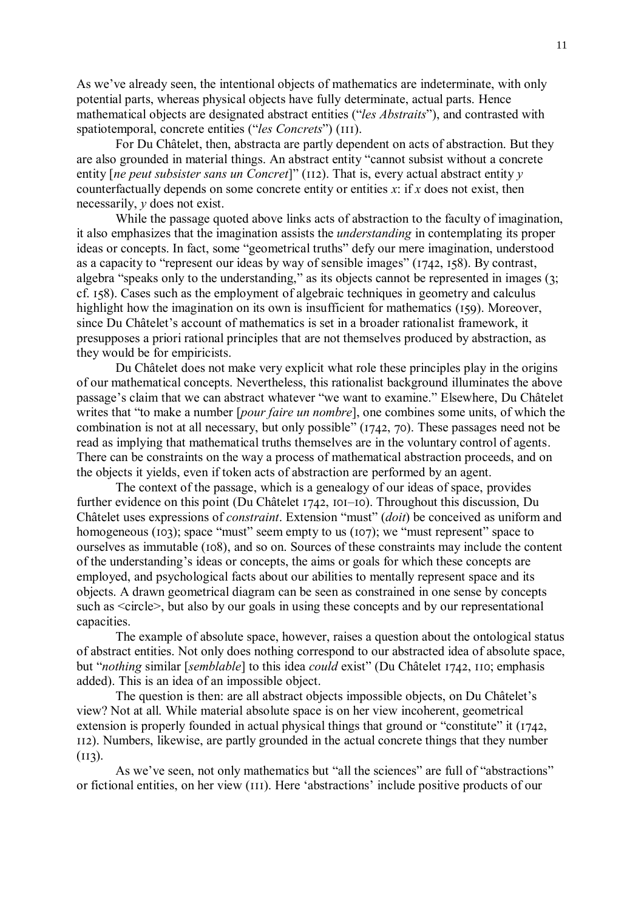As we've already seen, the intentional objects of mathematics are indeterminate, with only potential parts, whereas physical objects have fully determinate, actual parts. Hence mathematical objects are designated abstract entities ("*les Abstraits*"), and contrasted with spatiotemporal, concrete entities ("*les Concrets*") (111).

For Du Châtelet, then, abstracta are partly dependent on acts of abstraction. But they are also grounded in material things. An abstract entity "cannot subsist without a concrete entity [*ne peut subsister sans un Concret*]" (112). That is, every actual abstract entity *y* counterfactually depends on some concrete entity or entities *x*: if *x* does not exist, then necessarily, *y* does not exist.

While the passage quoted above links acts of abstraction to the faculty of imagination, it also emphasizes that the imagination assists the *understanding* in contemplating its proper ideas or concepts. In fact, some "geometrical truths" defy our mere imagination, understood as a capacity to "represent our ideas by way of sensible images" (1742, 158). By contrast, algebra "speaks only to the understanding," as its objects cannot be represented in images (3; cf. 158). Cases such as the employment of algebraic techniques in geometry and calculus highlight how the imagination on its own is insufficient for mathematics (159). Moreover, since Du Châtelet's account of mathematics is set in a broader rationalist framework, it presupposes a priori rational principles that are not themselves produced by abstraction, as they would be for empiricists.

Du Châtelet does not make very explicit what role these principles play in the origins of our mathematical concepts. Nevertheless, this rationalist background illuminates the above passage's claim that we can abstract whatever "we want to examine." Elsewhere, Du Châtelet writes that "to make a number [*pour faire un nombre*], one combines some units, of which the combination is not at all necessary, but only possible" (1742, 70). These passages need not be read as implying that mathematical truths themselves are in the voluntary control of agents. There can be constraints on the way a process of mathematical abstraction proceeds, and on the objects it yields, even if token acts of abstraction are performed by an agent.

The context of the passage, which is a genealogy of our ideas of space, provides further evidence on this point (Du Châtelet 1742, 101–10). Throughout this discussion, Du Châtelet uses expressions of *constraint*. Extension "must" (*doit*) be conceived as uniform and homogeneous (103); space "must" seem empty to us (107); we "must represent" space to ourselves as immutable (108), and so on. Sources of these constraints may include the content of the understanding's ideas or concepts, the aims or goals for which these concepts are employed, and psychological facts about our abilities to mentally represent space and its objects. A drawn geometrical diagram can be seen as constrained in one sense by concepts such as <circle>, but also by our goals in using these concepts and by our representational capacities.

The example of absolute space, however, raises a question about the ontological status of abstract entities. Not only does nothing correspond to our abstracted idea of absolute space, but "*nothing* similar [*semblable*] to this idea *could* exist" (Du Châtelet 1742, 110; emphasis added). This is an idea of an impossible object.

The question is then: are all abstract objects impossible objects, on Du Châtelet's view? Not at all. While material absolute space is on her view incoherent, geometrical extension is properly founded in actual physical things that ground or "constitute" it (1742, 112). Numbers, likewise, are partly grounded in the actual concrete things that they number  $(113).$ 

As we've seen, not only mathematics but "all the sciences" are full of "abstractions" or fictional entities, on her view (111). Here 'abstractions' include positive products of our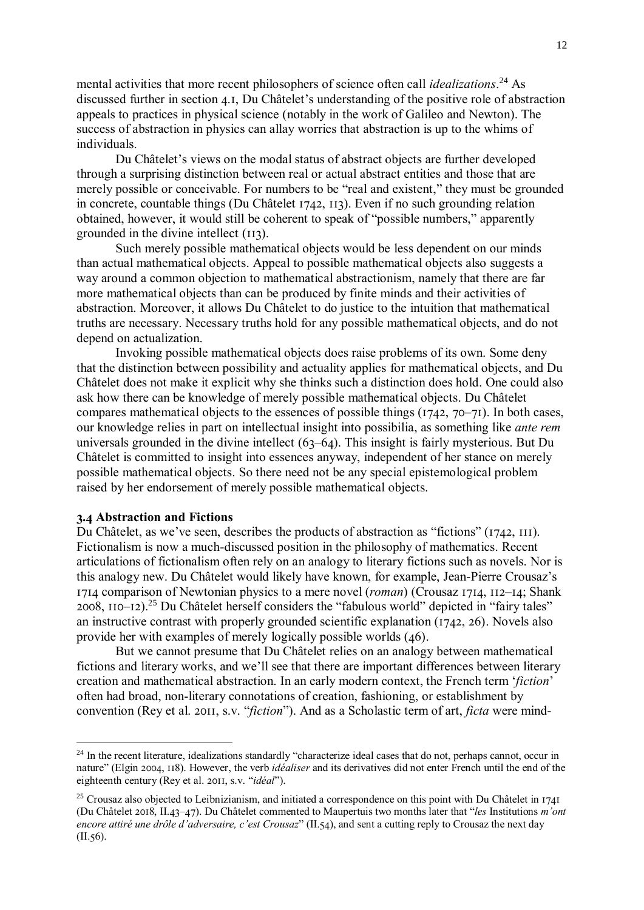mental activities that more recent philosophers of science often call *idealizations*. <sup>24</sup> As discussed further in section 4.1, Du Châtelet's understanding of the positive role of abstraction appeals to practices in physical science (notably in the work of Galileo and Newton). The success of abstraction in physics can allay worries that abstraction is up to the whims of individuals.

Du Châtelet's views on the modal status of abstract objects are further developed through a surprising distinction between real or actual abstract entities and those that are merely possible or conceivable. For numbers to be "real and existent," they must be grounded in concrete, countable things (Du Châtelet 1742, 113). Even if no such grounding relation obtained, however, it would still be coherent to speak of "possible numbers," apparently grounded in the divine intellect (113).

Such merely possible mathematical objects would be less dependent on our minds than actual mathematical objects. Appeal to possible mathematical objects also suggests a way around a common objection to mathematical abstractionism, namely that there are far more mathematical objects than can be produced by finite minds and their activities of abstraction. Moreover, it allows Du Châtelet to do justice to the intuition that mathematical truths are necessary. Necessary truths hold for any possible mathematical objects, and do not depend on actualization.

Invoking possible mathematical objects does raise problems of its own. Some deny that the distinction between possibility and actuality applies for mathematical objects, and Du Châtelet does not make it explicit why she thinks such a distinction does hold. One could also ask how there can be knowledge of merely possible mathematical objects. Du Châtelet compares mathematical objects to the essences of possible things (1742, 70–71). In both cases, our knowledge relies in part on intellectual insight into possibilia, as something like *ante rem*  universals grounded in the divine intellect (63–64). This insight is fairly mysterious. But Du Châtelet is committed to insight into essences anyway, independent of her stance on merely possible mathematical objects. So there need not be any special epistemological problem raised by her endorsement of merely possible mathematical objects.

### **3.4 Abstraction and Fictions**

1

Du Châtelet, as we've seen, describes the products of abstraction as "fictions" (1742, 111). Fictionalism is now a much-discussed position in the philosophy of mathematics. Recent articulations of fictionalism often rely on an analogy to literary fictions such as novels. Nor is this analogy new. Du Châtelet would likely have known, for example, Jean-Pierre Crousaz's 1714 comparison of Newtonian physics to a mere novel (*roman*) (Crousaz 1714, 112–14; Shank  $2008$ ,  $110 - 12$ ).<sup>25</sup> Du Châtelet herself considers the "fabulous world" depicted in "fairy tales" an instructive contrast with properly grounded scientific explanation (1742, 26). Novels also provide her with examples of merely logically possible worlds (46).

But we cannot presume that Du Châtelet relies on an analogy between mathematical fictions and literary works, and we'll see that there are important differences between literary creation and mathematical abstraction. In an early modern context, the French term '*fiction*' often had broad, non-literary connotations of creation, fashioning, or establishment by convention (Rey et al. 2011, s.v. "*fiction*"). And as a Scholastic term of art, *ficta* were mind-

<sup>&</sup>lt;sup>24</sup> In the recent literature, idealizations standardly "characterize ideal cases that do not, perhaps cannot, occur in nature" (Elgin 2004, 118). However, the verb *idéaliser* and its derivatives did not enter French until the end of the eighteenth century (Rey et al. 2011, s.v. "*idéal*").

<sup>&</sup>lt;sup>25</sup> Crousaz also objected to Leibnizianism, and initiated a correspondence on this point with Du Châtelet in 1741 (Du Châtelet 2018, II.43–47). Du Châtelet commented to Maupertuis two months later that "*les* Institutions *m'ont encore attiré une drôle d'adversaire, c'est Crousaz*" (II.54), and sent a cutting reply to Crousaz the next day (II.56).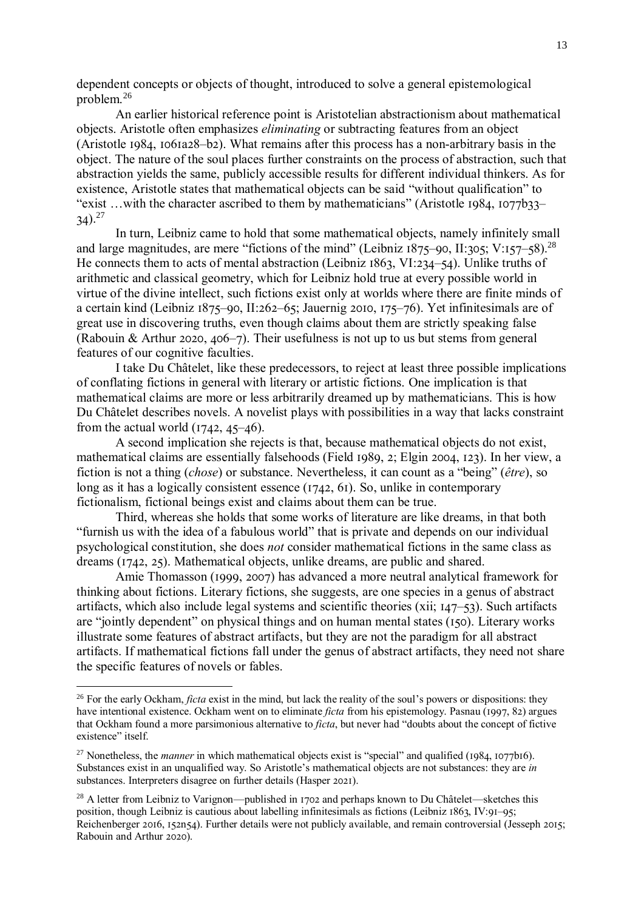dependent concepts or objects of thought, introduced to solve a general epistemological problem.<sup>26</sup>

An earlier historical reference point is Aristotelian abstractionism about mathematical objects. Aristotle often emphasizes *eliminating* or subtracting features from an object (Aristotle 1984, 1061a28–b2). What remains after this process has a non-arbitrary basis in the object. The nature of the soul places further constraints on the process of abstraction, such that abstraction yields the same, publicly accessible results for different individual thinkers. As for existence, Aristotle states that mathematical objects can be said "without qualification" to "exist …with the character ascribed to them by mathematicians" (Aristotle 1984, 1077b33–  $34)$ <sup>27</sup>

In turn, Leibniz came to hold that some mathematical objects, namely infinitely small and large magnitudes, are mere "fictions of the mind" (Leibniz 1875–90, II:305; V:157–58).<sup>28</sup> He connects them to acts of mental abstraction (Leibniz 1863, VI:234–54). Unlike truths of arithmetic and classical geometry, which for Leibniz hold true at every possible world in virtue of the divine intellect, such fictions exist only at worlds where there are finite minds of a certain kind (Leibniz 1875–90, II:262–65; Jauernig 2010, 175–76). Yet infinitesimals are of great use in discovering truths, even though claims about them are strictly speaking false (Rabouin & Arthur 2020, 406–7). Their usefulness is not up to us but stems from general features of our cognitive faculties.

I take Du Châtelet, like these predecessors, to reject at least three possible implications of conflating fictions in general with literary or artistic fictions. One implication is that mathematical claims are more or less arbitrarily dreamed up by mathematicians. This is how Du Châtelet describes novels. A novelist plays with possibilities in a way that lacks constraint from the actual world  $(1742, 45-46)$ .

A second implication she rejects is that, because mathematical objects do not exist, mathematical claims are essentially falsehoods (Field 1989, 2; Elgin 2004, 123). In her view, a fiction is not a thing (*chose*) or substance. Nevertheless, it can count as a "being" (*être*), so long as it has a logically consistent essence (1742, 61). So, unlike in contemporary fictionalism, fictional beings exist and claims about them can be true.

Third, whereas she holds that some works of literature are like dreams, in that both "furnish us with the idea of a fabulous world" that is private and depends on our individual psychological constitution, she does *not* consider mathematical fictions in the same class as dreams (1742, 25). Mathematical objects, unlike dreams, are public and shared.

Amie Thomasson (1999, 2007) has advanced a more neutral analytical framework for thinking about fictions. Literary fictions, she suggests, are one species in a genus of abstract artifacts, which also include legal systems and scientific theories (xii; 147–53). Such artifacts are "jointly dependent" on physical things and on human mental states (150). Literary works illustrate some features of abstract artifacts, but they are not the paradigm for all abstract artifacts. If mathematical fictions fall under the genus of abstract artifacts, they need not share the specific features of novels or fables.

<sup>&</sup>lt;sup>26</sup> For the early Ockham, *ficta* exist in the mind, but lack the reality of the soul's powers or dispositions: they have intentional existence. Ockham went on to eliminate *ficta* from his epistemology. Pasnau (1997, 82) argues that Ockham found a more parsimonious alternative to *ficta*, but never had "doubts about the concept of fictive existence" itself.

<sup>&</sup>lt;sup>27</sup> Nonetheless, the *manner* in which mathematical objects exist is "special" and qualified (1984, 1077b16). Substances exist in an unqualified way. So Aristotle's mathematical objects are not substances: they are *in* substances. Interpreters disagree on further details (Hasper 2021).

<sup>&</sup>lt;sup>28</sup> A letter from Leibniz to Varignon—published in 1702 and perhaps known to Du Châtelet—sketches this position, though Leibniz is cautious about labelling infinitesimals as fictions (Leibniz 1863, IV:91–95; Reichenberger 2016, 152n54). Further details were not publicly available, and remain controversial (Jesseph 2015; Rabouin and Arthur 2020).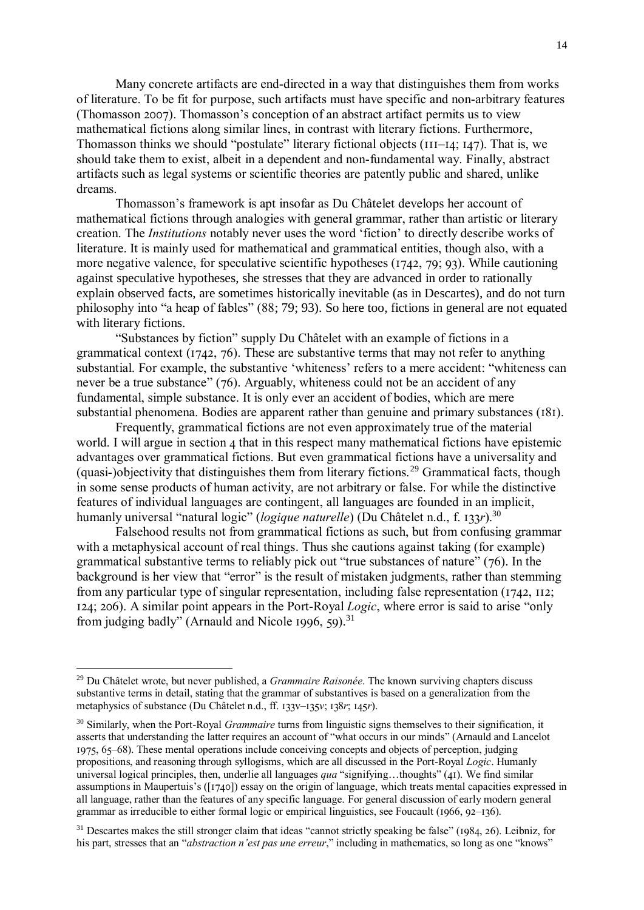Many concrete artifacts are end-directed in a way that distinguishes them from works of literature. To be fit for purpose, such artifacts must have specific and non-arbitrary features (Thomasson 2007). Thomasson's conception of an abstract artifact permits us to view mathematical fictions along similar lines, in contrast with literary fictions. Furthermore, Thomasson thinks we should "postulate" literary fictional objects (111–14; 147). That is, we should take them to exist, albeit in a dependent and non-fundamental way. Finally, abstract artifacts such as legal systems or scientific theories are patently public and shared, unlike dreams.

Thomasson's framework is apt insofar as Du Châtelet develops her account of mathematical fictions through analogies with general grammar, rather than artistic or literary creation. The *Institutions* notably never uses the word 'fiction' to directly describe works of literature. It is mainly used for mathematical and grammatical entities, though also, with a more negative valence, for speculative scientific hypotheses (1742, 79; 93). While cautioning against speculative hypotheses, she stresses that they are advanced in order to rationally explain observed facts, are sometimes historically inevitable (as in Descartes), and do not turn philosophy into "a heap of fables" (88; 79; 93). So here too, fictions in general are not equated with literary fictions.

"Substances by fiction" supply Du Châtelet with an example of fictions in a grammatical context (1742, 76). These are substantive terms that may not refer to anything substantial. For example, the substantive 'whiteness' refers to a mere accident: "whiteness can never be a true substance" (76). Arguably, whiteness could not be an accident of any fundamental, simple substance. It is only ever an accident of bodies, which are mere substantial phenomena. Bodies are apparent rather than genuine and primary substances (181).

Frequently, grammatical fictions are not even approximately true of the material world. I will argue in section 4 that in this respect many mathematical fictions have epistemic advantages over grammatical fictions. But even grammatical fictions have a universality and (quasi-)objectivity that distinguishes them from literary fictions.<sup>29</sup> Grammatical facts, though in some sense products of human activity, are not arbitrary or false. For while the distinctive features of individual languages are contingent, all languages are founded in an implicit, humanly universal "natural logic" (*logique naturelle*) (Du Châtelet n.d., f. 133*r*).<sup>30</sup>

Falsehood results not from grammatical fictions as such, but from confusing grammar with a metaphysical account of real things. Thus she cautions against taking (for example) grammatical substantive terms to reliably pick out "true substances of nature" (76). In the background is her view that "error" is the result of mistaken judgments, rather than stemming from any particular type of singular representation, including false representation (1742, 112; 124; 206). A similar point appears in the Port-Royal *Logic*, where error is said to arise "only from judging badly" (Arnauld and Nicole 1996, 59).<sup>31</sup>

<u>.</u>

<sup>29</sup> Du Châtelet wrote, but never published, a *Grammaire Raisonée*. The known surviving chapters discuss substantive terms in detail, stating that the grammar of substantives is based on a generalization from the metaphysics of substance (Du Châtelet n.d., ff. 133v–135*v*; 138*r*; 145*r*).

<sup>30</sup> Similarly, when the Port-Royal *Grammaire* turns from linguistic signs themselves to their signification, it asserts that understanding the latter requires an account of "what occurs in our minds" (Arnauld and Lancelot 1975, 65–68). These mental operations include conceiving concepts and objects of perception, judging propositions, and reasoning through syllogisms, which are all discussed in the Port-Royal *Logic*. Humanly universal logical principles, then, underlie all languages *qua* "signifying…thoughts" (41). We find similar assumptions in Maupertuis's ([1740]) essay on the origin of language, which treats mental capacities expressed in all language, rather than the features of any specific language. For general discussion of early modern general grammar as irreducible to either formal logic or empirical linguistics, see Foucault (1966, 92–136).

<sup>&</sup>lt;sup>31</sup> Descartes makes the still stronger claim that ideas "cannot strictly speaking be false" (1984, 26). Leibniz, for his part, stresses that an "*abstraction n'est pas une erreur*," including in mathematics, so long as one "knows"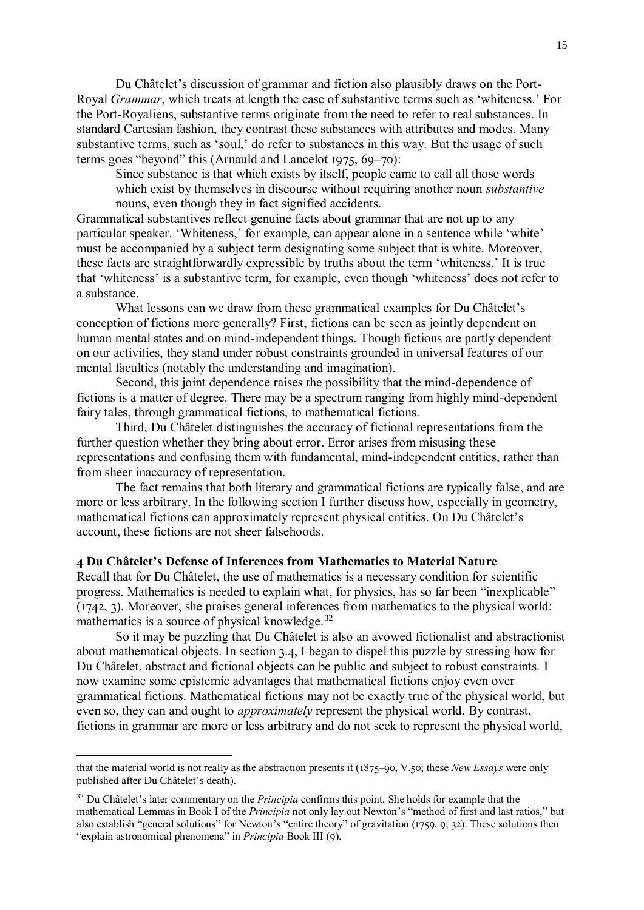Du Châtelet's discussion of grammar and fiction also plausibly draws on the Port-Royal *Grammar*, which treats at length the case of substantive terms such as 'whiteness.' For the Port-Royaliens, substantive terms originate from the need to refer to real substances. In standard Cartesian fashion, they contrast these substances with attributes and modes. Many substantive terms, such as 'soul,' do refer to substances in this way. But the usage of such terms goes "beyond" this (Arnauld and Lancelot 1975, 69–70):

Since substance is that which exists by itself, people came to call all those words which exist by themselves in discourse without requiring another noun *substantive* nouns, even though they in fact signified accidents.

Grammatical substantives reflect genuine facts about grammar that are not up to any particular speaker. 'Whiteness,' for example, can appear alone in a sentence while 'white' must be accompanied by a subject term designating some subject that is white. Moreover, these facts are straightforwardly expressible by truths about the term 'whiteness.' It is true that 'whiteness' is a substantive term, for example, even though 'whiteness' does not refer to a substance.

What lessons can we draw from these grammatical examples for Du Châtelet's conception of fictions more generally? First, fictions can be seen as jointly dependent on human mental states and on mind-independent things. Though fictions are partly dependent on our activities, they stand under robust constraints grounded in universal features of our mental faculties (notably the understanding and imagination).

Second, this joint dependence raises the possibility that the mind-dependence of fictions is a matter of degree. There may be a spectrum ranging from highly mind-dependent fairy tales, through grammatical fictions, to mathematical fictions.

Third, Du Châtelet distinguishes the accuracy of fictional representations from the further question whether they bring about error. Error arises from misusing these representations and confusing them with fundamental, mind-independent entities, rather than from sheer inaccuracy of representation.

The fact remains that both literary and grammatical fictions are typically false, and are more or less arbitrary. In the following section I further discuss how, especially in geometry, mathematical fictions can approximately represent physical entities. On Du Châtelet's account, these fictions are not sheer falsehoods.

#### **4 Du Châtelet's Defense of Inferences from Mathematics to Material Nature**

Recall that for Du Châtelet, the use of mathematics is a necessary condition for scientific progress. Mathematics is needed to explain what, for physics, has so far been "inexplicable" (1742, 3). Moreover, she praises general inferences from mathematics to the physical world: mathematics is a source of physical knowledge. $32$ 

So it may be puzzling that Du Châtelet is also an avowed fictionalist and abstractionist about mathematical objects. In section 3.4, I began to dispel this puzzle by stressing how for Du Châtelet, abstract and fictional objects can be public and subject to robust constraints. I now examine some epistemic advantages that mathematical fictions enjoy even over grammatical fictions. Mathematical fictions may not be exactly true of the physical world, but even so, they can and ought to *approximately* represent the physical world. By contrast, fictions in grammar are more or less arbitrary and do not seek to represent the physical world,

<u>.</u>

that the material world is not really as the abstraction presents it (1875–90, V.50; these *New Essays* were only published after Du Châtelet's death).

<sup>32</sup> Du Châtelet's later commentary on the *Principia* confirms this point. She holds for example that the mathematical Lemmas in Book I of the *Principia* not only lay out Newton's "method of first and last ratios," but also establish "general solutions" for Newton's "entire theory" of gravitation (1759, 9; 32). These solutions then "explain astronomical phenomena" in *Principia* Book III (9).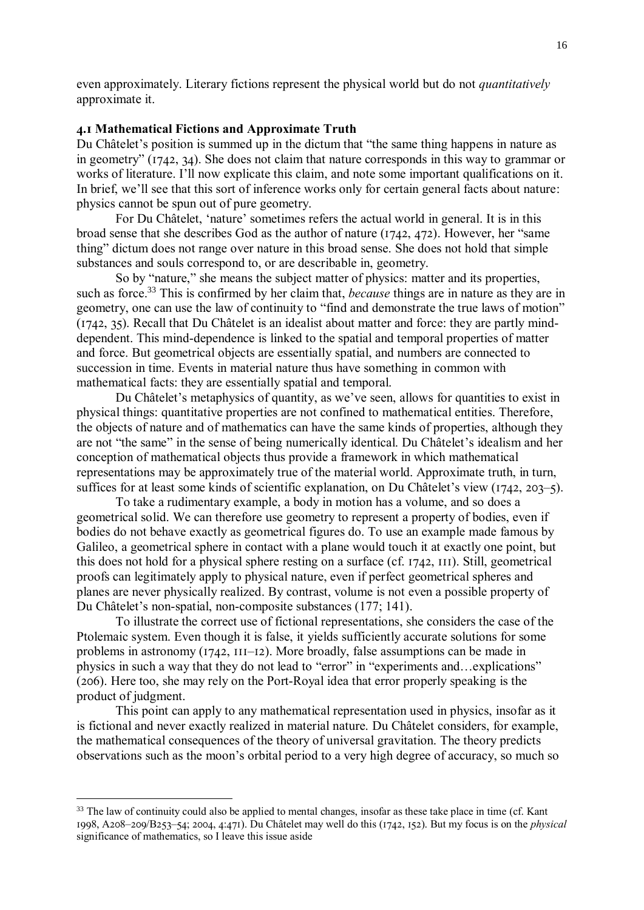even approximately. Literary fictions represent the physical world but do not *quantitatively*  approximate it.

# **4.1 Mathematical Fictions and Approximate Truth**

Du Châtelet's position is summed up in the dictum that "the same thing happens in nature as in geometry" (1742, 34). She does not claim that nature corresponds in this way to grammar or works of literature. I'll now explicate this claim, and note some important qualifications on it. In brief, we'll see that this sort of inference works only for certain general facts about nature: physics cannot be spun out of pure geometry.

For Du Châtelet, 'nature' sometimes refers the actual world in general. It is in this broad sense that she describes God as the author of nature (1742, 472). However, her "same thing" dictum does not range over nature in this broad sense. She does not hold that simple substances and souls correspond to, or are describable in, geometry.

So by "nature," she means the subject matter of physics: matter and its properties, such as force.<sup>33</sup> This is confirmed by her claim that, *because* things are in nature as they are in geometry, one can use the law of continuity to "find and demonstrate the true laws of motion" (1742, 35). Recall that Du Châtelet is an idealist about matter and force: they are partly minddependent. This mind-dependence is linked to the spatial and temporal properties of matter and force. But geometrical objects are essentially spatial, and numbers are connected to succession in time. Events in material nature thus have something in common with mathematical facts: they are essentially spatial and temporal.

Du Châtelet's metaphysics of quantity, as we've seen, allows for quantities to exist in physical things: quantitative properties are not confined to mathematical entities. Therefore, the objects of nature and of mathematics can have the same kinds of properties, although they are not "the same" in the sense of being numerically identical. Du Châtelet's idealism and her conception of mathematical objects thus provide a framework in which mathematical representations may be approximately true of the material world. Approximate truth, in turn, suffices for at least some kinds of scientific explanation, on Du Châtelet's view (1742, 203–5).

To take a rudimentary example, a body in motion has a volume, and so does a geometrical solid. We can therefore use geometry to represent a property of bodies, even if bodies do not behave exactly as geometrical figures do. To use an example made famous by Galileo, a geometrical sphere in contact with a plane would touch it at exactly one point, but this does not hold for a physical sphere resting on a surface (cf. 1742, 111). Still, geometrical proofs can legitimately apply to physical nature, even if perfect geometrical spheres and planes are never physically realized. By contrast, volume is not even a possible property of Du Châtelet's non-spatial, non-composite substances (177; 141).

To illustrate the correct use of fictional representations, she considers the case of the Ptolemaic system. Even though it is false, it yields sufficiently accurate solutions for some problems in astronomy (1742, 111–12). More broadly, false assumptions can be made in physics in such a way that they do not lead to "error" in "experiments and…explications" (206). Here too, she may rely on the Port-Royal idea that error properly speaking is the product of judgment.

This point can apply to any mathematical representation used in physics, insofar as it is fictional and never exactly realized in material nature. Du Châtelet considers, for example, the mathematical consequences of the theory of universal gravitation. The theory predicts observations such as the moon's orbital period to a very high degree of accuracy, so much so

<sup>&</sup>lt;sup>33</sup> The law of continuity could also be applied to mental changes, insofar as these take place in time (cf. Kant 1998, A208–209/B253–54; 2004, 4:471). Du Châtelet may well do this (1742, 152). But my focus is on the *physical* significance of mathematics, so I leave this issue aside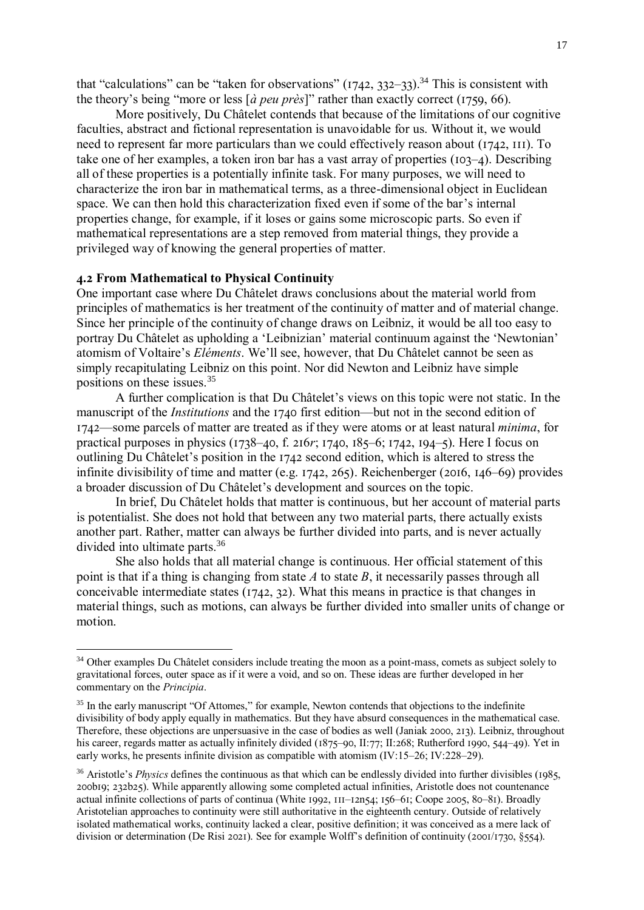that "calculations" can be "taken for observations"  $(1742, 332-33)$ .<sup>34</sup> This is consistent with the theory's being "more or less [*à peu près*]" rather than exactly correct (1759, 66).

More positively, Du Châtelet contends that because of the limitations of our cognitive faculties, abstract and fictional representation is unavoidable for us. Without it, we would need to represent far more particulars than we could effectively reason about (1742, 111). To take one of her examples, a token iron bar has a vast array of properties (103–4). Describing all of these properties is a potentially infinite task. For many purposes, we will need to characterize the iron bar in mathematical terms, as a three-dimensional object in Euclidean space. We can then hold this characterization fixed even if some of the bar's internal properties change, for example, if it loses or gains some microscopic parts. So even if mathematical representations are a step removed from material things, they provide a privileged way of knowing the general properties of matter.

#### **4.2 From Mathematical to Physical Continuity**

<u>.</u>

One important case where Du Châtelet draws conclusions about the material world from principles of mathematics is her treatment of the continuity of matter and of material change. Since her principle of the continuity of change draws on Leibniz, it would be all too easy to portray Du Châtelet as upholding a 'Leibnizian' material continuum against the 'Newtonian' atomism of Voltaire's *Eléments*. We'll see, however, that Du Châtelet cannot be seen as simply recapitulating Leibniz on this point. Nor did Newton and Leibniz have simple positions on these issues.<sup>35</sup>

A further complication is that Du Châtelet's views on this topic were not static. In the manuscript of the *Institutions* and the 1740 first edition—but not in the second edition of 1742—some parcels of matter are treated as if they were atoms or at least natural *minima*, for practical purposes in physics (1738–40, f. 216*r*; 1740, 185–6; 1742, 194–5). Here I focus on outlining Du Châtelet's position in the 1742 second edition, which is altered to stress the infinite divisibility of time and matter (e.g. 1742, 265). Reichenberger (2016, 146–69) provides a broader discussion of Du Châtelet's development and sources on the topic.

In brief, Du Châtelet holds that matter is continuous, but her account of material parts is potentialist. She does not hold that between any two material parts, there actually exists another part. Rather, matter can always be further divided into parts, and is never actually divided into ultimate parts.<sup>36</sup>

She also holds that all material change is continuous. Her official statement of this point is that if a thing is changing from state *A* to state *B*, it necessarily passes through all conceivable intermediate states (1742, 32). What this means in practice is that changes in material things, such as motions, can always be further divided into smaller units of change or motion.

<sup>&</sup>lt;sup>34</sup> Other examples Du Châtelet considers include treating the moon as a point-mass, comets as subject solely to gravitational forces, outer space as if it were a void, and so on. These ideas are further developed in her commentary on the *Principia*.

<sup>&</sup>lt;sup>35</sup> In the early manuscript "Of Attomes," for example, Newton contends that objections to the indefinite divisibility of body apply equally in mathematics. But they have absurd consequences in the mathematical case. Therefore, these objections are unpersuasive in the case of bodies as well (Janiak 2000, 213). Leibniz, throughout his career, regards matter as actually infinitely divided (1875–90, II:77; II:268; Rutherford 1990, 544–49). Yet in early works, he presents infinite division as compatible with atomism (IV:15–26; IV:228–29).

<sup>&</sup>lt;sup>36</sup> Aristotle's *Physics* defines the continuous as that which can be endlessly divided into further divisibles (1985, 200b19; 232b25). While apparently allowing some completed actual infinities, Aristotle does not countenance actual infinite collections of parts of continua (White 1992, 111–12n54; 156–61; Coope 2005, 80–81). Broadly Aristotelian approaches to continuity were still authoritative in the eighteenth century. Outside of relatively isolated mathematical works, continuity lacked a clear, positive definition; it was conceived as a mere lack of division or determination (De Risi 2021). See for example Wolff's definition of continuity (2001/1730, §554).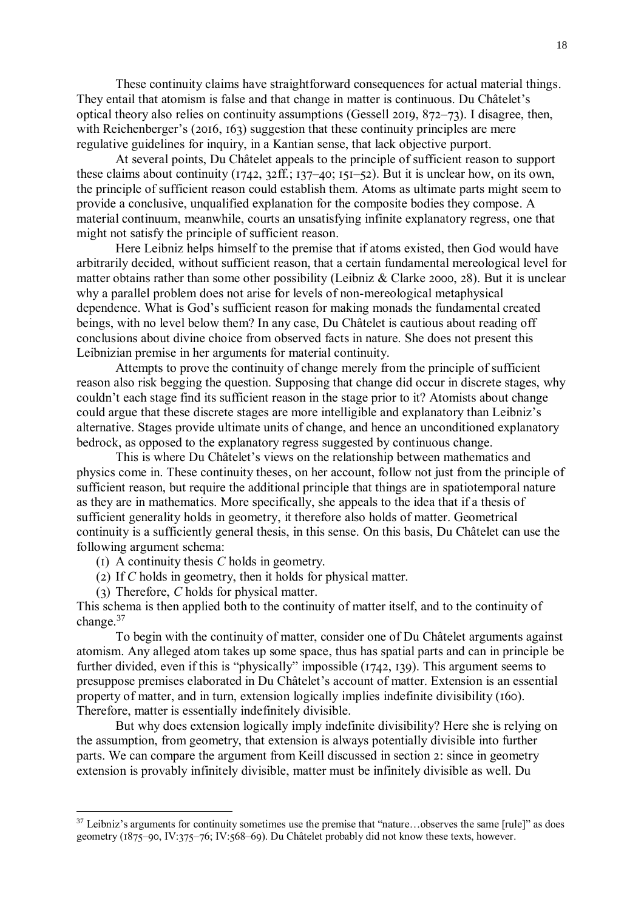These continuity claims have straightforward consequences for actual material things. They entail that atomism is false and that change in matter is continuous. Du Châtelet's optical theory also relies on continuity assumptions (Gessell 2019, 872–73). I disagree, then, with Reichenberger's (2016, 163) suggestion that these continuity principles are mere regulative guidelines for inquiry, in a Kantian sense, that lack objective purport.

At several points, Du Châtelet appeals to the principle of sufficient reason to support these claims about continuity (1742, 32ff.; 137–40; 151–52). But it is unclear how, on its own, the principle of sufficient reason could establish them. Atoms as ultimate parts might seem to provide a conclusive, unqualified explanation for the composite bodies they compose. A material continuum, meanwhile, courts an unsatisfying infinite explanatory regress, one that might not satisfy the principle of sufficient reason.

Here Leibniz helps himself to the premise that if atoms existed, then God would have arbitrarily decided, without sufficient reason, that a certain fundamental mereological level for matter obtains rather than some other possibility (Leibniz & Clarke 2000, 28). But it is unclear why a parallel problem does not arise for levels of non-mereological metaphysical dependence. What is God's sufficient reason for making monads the fundamental created beings, with no level below them? In any case, Du Châtelet is cautious about reading off conclusions about divine choice from observed facts in nature. She does not present this Leibnizian premise in her arguments for material continuity.

Attempts to prove the continuity of change merely from the principle of sufficient reason also risk begging the question. Supposing that change did occur in discrete stages, why couldn't each stage find its sufficient reason in the stage prior to it? Atomists about change could argue that these discrete stages are more intelligible and explanatory than Leibniz's alternative. Stages provide ultimate units of change, and hence an unconditioned explanatory bedrock, as opposed to the explanatory regress suggested by continuous change.

This is where Du Châtelet's views on the relationship between mathematics and physics come in. These continuity theses, on her account, follow not just from the principle of sufficient reason, but require the additional principle that things are in spatiotemporal nature as they are in mathematics. More specifically, she appeals to the idea that if a thesis of sufficient generality holds in geometry, it therefore also holds of matter. Geometrical continuity is a sufficiently general thesis, in this sense. On this basis, Du Châtelet can use the following argument schema:

(1) A continuity thesis *C* holds in geometry.

- (2) If *C* holds in geometry, then it holds for physical matter.
- (3) Therefore, *C* holds for physical matter.

1

This schema is then applied both to the continuity of matter itself, and to the continuity of change.<sup>37</sup>

To begin with the continuity of matter, consider one of Du Châtelet arguments against atomism. Any alleged atom takes up some space, thus has spatial parts and can in principle be further divided, even if this is "physically" impossible (1742, 139). This argument seems to presuppose premises elaborated in Du Châtelet's account of matter. Extension is an essential property of matter, and in turn, extension logically implies indefinite divisibility (160). Therefore, matter is essentially indefinitely divisible.

But why does extension logically imply indefinite divisibility? Here she is relying on the assumption, from geometry, that extension is always potentially divisible into further parts. We can compare the argument from Keill discussed in section 2: since in geometry extension is provably infinitely divisible, matter must be infinitely divisible as well. Du

 $37$  Leibniz's arguments for continuity sometimes use the premise that "nature...observes the same [rule]" as does geometry (1875–90, IV:375–76; IV:568–69). Du Châtelet probably did not know these texts, however.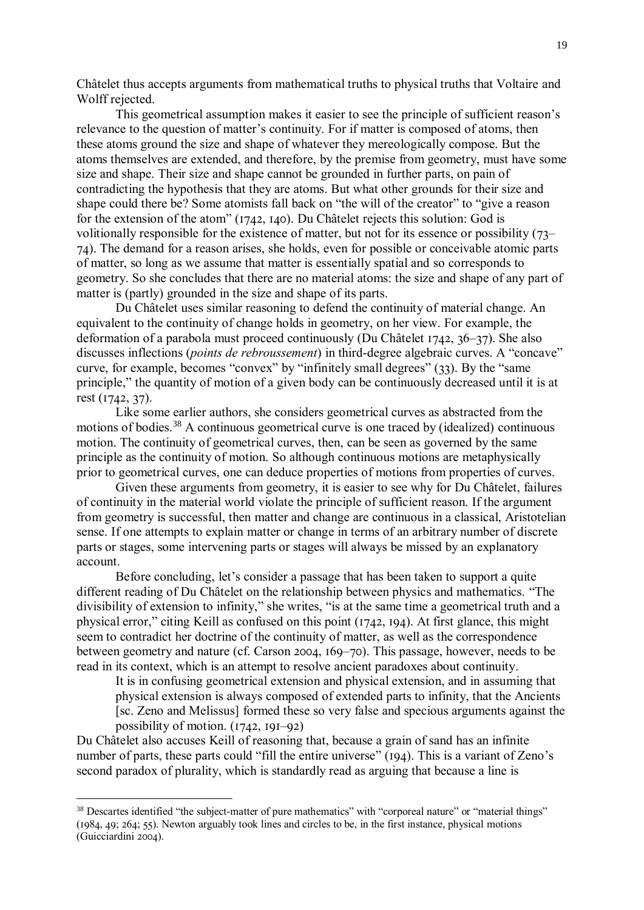Châtelet thus accepts arguments from mathematical truths to physical truths that Voltaire and Wolff rejected.

This geometrical assumption makes it easier to see the principle of sufficient reason's relevance to the question of matter's continuity. For if matter is composed of atoms, then these atoms ground the size and shape of whatever they mereologically compose. But the atoms themselves are extended, and therefore, by the premise from geometry, must have some size and shape. Their size and shape cannot be grounded in further parts, on pain of contradicting the hypothesis that they are atoms. But what other grounds for their size and shape could there be? Some atomists fall back on "the will of the creator" to "give a reason for the extension of the atom" (1742, 140). Du Châtelet rejects this solution: God is volitionally responsible for the existence of matter, but not for its essence or possibility (73– 74). The demand for a reason arises, she holds, even for possible or conceivable atomic parts of matter, so long as we assume that matter is essentially spatial and so corresponds to geometry. So she concludes that there are no material atoms: the size and shape of any part of matter is (partly) grounded in the size and shape of its parts.

Du Châtelet uses similar reasoning to defend the continuity of material change. An equivalent to the continuity of change holds in geometry, on her view. For example, the deformation of a parabola must proceed continuously (Du Châtelet 1742, 36–37). She also discusses inflections (*points de rebroussement*) in third-degree algebraic curves. A "concave" curve, for example, becomes "convex" by "infinitely small degrees" (33). By the "same principle," the quantity of motion of a given body can be continuously decreased until it is at rest (1742, 37).

Like some earlier authors, she considers geometrical curves as abstracted from the motions of bodies.<sup>38</sup> A continuous geometrical curve is one traced by (idealized) continuous motion. The continuity of geometrical curves, then, can be seen as governed by the same principle as the continuity of motion. So although continuous motions are metaphysically prior to geometrical curves, one can deduce properties of motions from properties of curves.

Given these arguments from geometry, it is easier to see why for Du Châtelet, failures of continuity in the material world violate the principle of sufficient reason. If the argument from geometry is successful, then matter and change are continuous in a classical, Aristotelian sense. If one attempts to explain matter or change in terms of an arbitrary number of discrete parts or stages, some intervening parts or stages will always be missed by an explanatory account.

Before concluding, let's consider a passage that has been taken to support a quite different reading of Du Châtelet on the relationship between physics and mathematics. "The divisibility of extension to infinity," she writes, "is at the same time a geometrical truth and a physical error," citing Keill as confused on this point (1742, 194). At first glance, this might seem to contradict her doctrine of the continuity of matter, as well as the correspondence between geometry and nature (cf. Carson 2004, 169–70). This passage, however, needs to be read in its context, which is an attempt to resolve ancient paradoxes about continuity.

It is in confusing geometrical extension and physical extension, and in assuming that physical extension is always composed of extended parts to infinity, that the Ancients [sc. Zeno and Melissus] formed these so very false and specious arguments against the possibility of motion. (1742, 191–92)

Du Châtelet also accuses Keill of reasoning that, because a grain of sand has an infinite number of parts, these parts could "fill the entire universe" (194). This is a variant of Zeno's second paradox of plurality, which is standardly read as arguing that because a line is

<sup>&</sup>lt;sup>38</sup> Descartes identified "the subject-matter of pure mathematics" with "corporeal nature" or "material things" (1984, 49; 264; 55). Newton arguably took lines and circles to be, in the first instance, physical motions (Guicciardini 2004).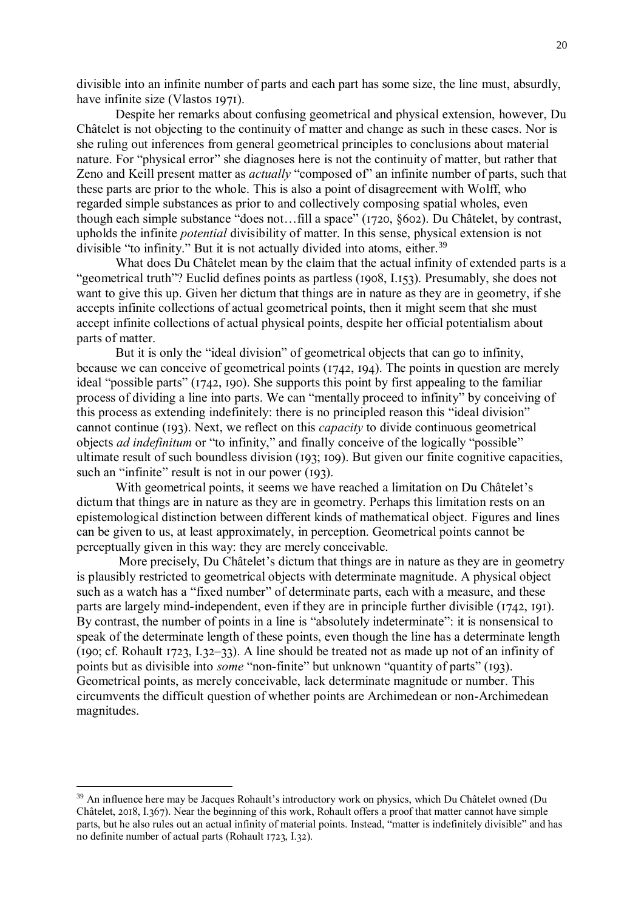divisible into an infinite number of parts and each part has some size, the line must, absurdly, have infinite size (Vlastos 1971).

Despite her remarks about confusing geometrical and physical extension, however, Du Châtelet is not objecting to the continuity of matter and change as such in these cases. Nor is she ruling out inferences from general geometrical principles to conclusions about material nature. For "physical error" she diagnoses here is not the continuity of matter, but rather that Zeno and Keill present matter as *actually* "composed of" an infinite number of parts, such that these parts are prior to the whole. This is also a point of disagreement with Wolff, who regarded simple substances as prior to and collectively composing spatial wholes, even though each simple substance "does not…fill a space" (1720, §602). Du Châtelet, by contrast, upholds the infinite *potential* divisibility of matter. In this sense, physical extension is not divisible "to infinity." But it is not actually divided into atoms, either.<sup>39</sup>

What does Du Châtelet mean by the claim that the actual infinity of extended parts is a "geometrical truth"? Euclid defines points as partless (1908, I.153). Presumably, she does not want to give this up. Given her dictum that things are in nature as they are in geometry, if she accepts infinite collections of actual geometrical points, then it might seem that she must accept infinite collections of actual physical points, despite her official potentialism about parts of matter.

But it is only the "ideal division" of geometrical objects that can go to infinity, because we can conceive of geometrical points (1742, 194). The points in question are merely ideal "possible parts" (1742, 190). She supports this point by first appealing to the familiar process of dividing a line into parts. We can "mentally proceed to infinity" by conceiving of this process as extending indefinitely: there is no principled reason this "ideal division" cannot continue (193). Next, we reflect on this *capacity* to divide continuous geometrical objects *ad indefinitum* or "to infinity," and finally conceive of the logically "possible" ultimate result of such boundless division (193; 109). But given our finite cognitive capacities, such an "infinite" result is not in our power (193).

With geometrical points, it seems we have reached a limitation on Du Châtelet's dictum that things are in nature as they are in geometry. Perhaps this limitation rests on an epistemological distinction between different kinds of mathematical object. Figures and lines can be given to us, at least approximately, in perception. Geometrical points cannot be perceptually given in this way: they are merely conceivable.

More precisely, Du Châtelet's dictum that things are in nature as they are in geometry is plausibly restricted to geometrical objects with determinate magnitude. A physical object such as a watch has a "fixed number" of determinate parts, each with a measure, and these parts are largely mind-independent, even if they are in principle further divisible (1742, 191). By contrast, the number of points in a line is "absolutely indeterminate": it is nonsensical to speak of the determinate length of these points, even though the line has a determinate length (190; cf. Rohault 1723, I.32–33). A line should be treated not as made up not of an infinity of points but as divisible into *some* "non-finite" but unknown "quantity of parts" (193). Geometrical points, as merely conceivable, lack determinate magnitude or number. This circumvents the difficult question of whether points are Archimedean or non-Archimedean magnitudes.

<sup>39</sup> An influence here may be Jacques Rohault's introductory work on physics, which Du Châtelet owned (Du Châtelet, 2018, I.367). Near the beginning of this work, Rohault offers a proof that matter cannot have simple parts, but he also rules out an actual infinity of material points. Instead, "matter is indefinitely divisible" and has no definite number of actual parts (Rohault 1723, I.32).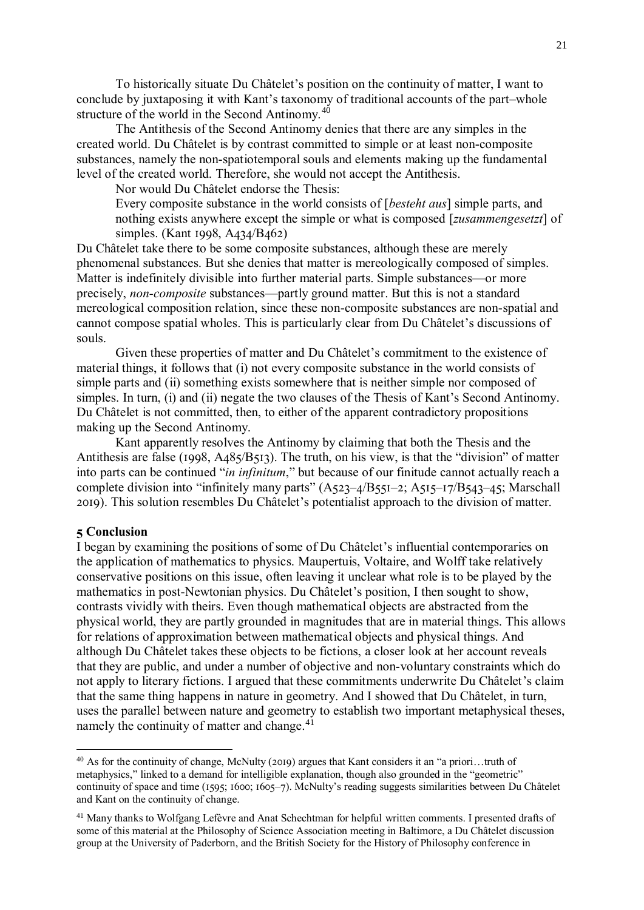To historically situate Du Châtelet's position on the continuity of matter, I want to conclude by juxtaposing it with Kant's taxonomy of traditional accounts of the part–whole structure of the world in the Second Antinomy.<sup>40</sup>

The Antithesis of the Second Antinomy denies that there are any simples in the created world. Du Châtelet is by contrast committed to simple or at least non-composite substances, namely the non-spatiotemporal souls and elements making up the fundamental level of the created world. Therefore, she would not accept the Antithesis.

Nor would Du Châtelet endorse the Thesis:

Every composite substance in the world consists of [*besteht aus*] simple parts, and nothing exists anywhere except the simple or what is composed [*zusammengesetzt*] of simples. (Kant 1998, A434/B462)

Du Châtelet take there to be some composite substances, although these are merely phenomenal substances. But she denies that matter is mereologically composed of simples. Matter is indefinitely divisible into further material parts. Simple substances—or more precisely, *non-composite* substances—partly ground matter. But this is not a standard mereological composition relation, since these non-composite substances are non-spatial and cannot compose spatial wholes. This is particularly clear from Du Châtelet's discussions of souls.

Given these properties of matter and Du Châtelet's commitment to the existence of material things, it follows that (i) not every composite substance in the world consists of simple parts and (ii) something exists somewhere that is neither simple nor composed of simples. In turn, (i) and (ii) negate the two clauses of the Thesis of Kant's Second Antinomy. Du Châtelet is not committed, then, to either of the apparent contradictory propositions making up the Second Antinomy.

Kant apparently resolves the Antinomy by claiming that both the Thesis and the Antithesis are false (1998, A485/B513). The truth, on his view, is that the "division" of matter into parts can be continued "*in infinitum*," but because of our finitude cannot actually reach a complete division into "infinitely many parts" (A523–4/B551–2; A515–17/B543–45; Marschall 2019). This solution resembles Du Châtelet's potentialist approach to the division of matter.

## **5 Conclusion**

1

I began by examining the positions of some of Du Châtelet's influential contemporaries on the application of mathematics to physics. Maupertuis, Voltaire, and Wolff take relatively conservative positions on this issue, often leaving it unclear what role is to be played by the mathematics in post-Newtonian physics. Du Châtelet's position, I then sought to show, contrasts vividly with theirs. Even though mathematical objects are abstracted from the physical world, they are partly grounded in magnitudes that are in material things. This allows for relations of approximation between mathematical objects and physical things. And although Du Châtelet takes these objects to be fictions, a closer look at her account reveals that they are public, and under a number of objective and non-voluntary constraints which do not apply to literary fictions. I argued that these commitments underwrite Du Châtelet's claim that the same thing happens in nature in geometry. And I showed that Du Châtelet, in turn, uses the parallel between nature and geometry to establish two important metaphysical theses, namely the continuity of matter and change.<sup>41</sup>

<sup>40</sup> As for the continuity of change, McNulty (2019) argues that Kant considers it an "a priori…truth of metaphysics," linked to a demand for intelligible explanation, though also grounded in the "geometric" continuity of space and time (1595; 1600; 1605–7). McNulty's reading suggests similarities between Du Châtelet and Kant on the continuity of change.

<sup>&</sup>lt;sup>41</sup> Many thanks to Wolfgang Lefèvre and Anat Schechtman for helpful written comments. I presented drafts of some of this material at the Philosophy of Science Association meeting in Baltimore, a Du Châtelet discussion group at the University of Paderborn, and the British Society for the History of Philosophy conference in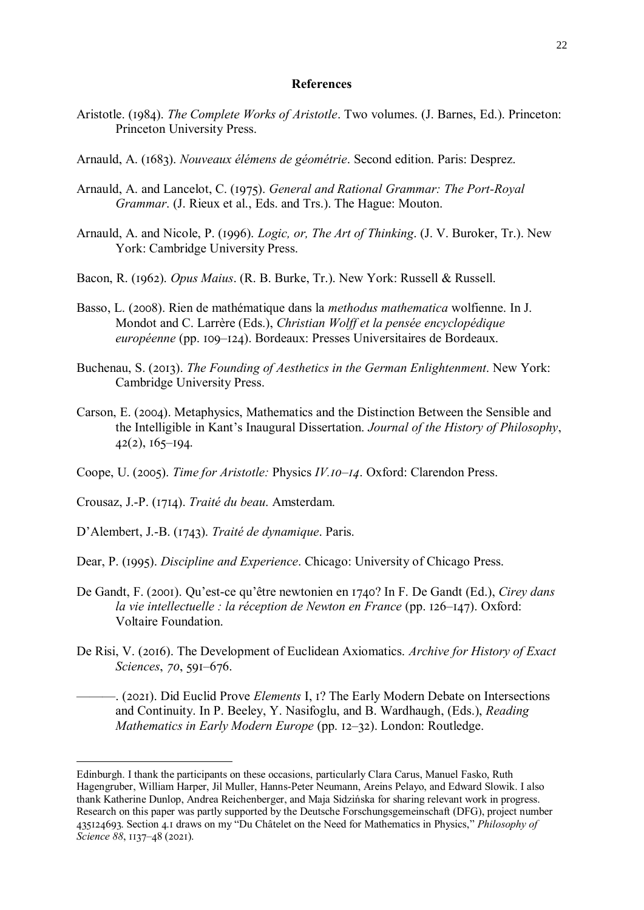#### **References**

- Aristotle. (1984). *The Complete Works of Aristotle*. Two volumes. (J. Barnes, Ed.). Princeton: Princeton University Press.
- Arnauld, A. (1683). *Nouveaux élémens de géométrie*. Second edition. Paris: Desprez.
- Arnauld, A. and Lancelot, C. (1975). *General and Rational Grammar: The Port-Royal Grammar*. (J. Rieux et al., Eds. and Trs.). The Hague: Mouton.
- Arnauld, A. and Nicole, P. (1996). *Logic, or, The Art of Thinking*. (J. V. Buroker, Tr.). New York: Cambridge University Press.
- Bacon, R. (1962). *Opus Maius*. (R. B. Burke, Tr.). New York: Russell & Russell.
- Basso, L. (2008). Rien de mathématique dans la *methodus mathematica* wolfienne. In J. Mondot and C. Larrère (Eds.), *Christian Wolff et la pensée encyclopédique européenne* (pp. 109–124). Bordeaux: Presses Universitaires de Bordeaux.
- Buchenau, S. (2013). *The Founding of Aesthetics in the German Enlightenment*. New York: Cambridge University Press.
- Carson, E. (2004). Metaphysics, Mathematics and the Distinction Between the Sensible and the Intelligible in Kant's Inaugural Dissertation. *Journal of the History of Philosophy*,  $42(2)$ ,  $165-194$ .
- Coope, U. (2005). *Time for Aristotle:* Physics *IV.10–14*. Oxford: Clarendon Press.
- Crousaz, J.-P. (1714). *Traité du beau*. Amsterdam.

<u>.</u>

- D'Alembert, J.-B. (1743). *Traité de dynamique*. Paris.
- Dear, P. (1995). *Discipline and Experience*. Chicago: University of Chicago Press.
- De Gandt, F. (2001). Qu'est-ce qu'être newtonien en 1740? In F. De Gandt (Ed.), *Cirey dans la vie intellectuelle : la réception de Newton en France* (pp. 126–147). Oxford: Voltaire Foundation.
- De Risi, V. (2016). The Development of Euclidean Axiomatics. *Archive for History of Exact Sciences*, *70*, 591–676.
	- ———. (2021). Did Euclid Prove *Elements* I, 1? The Early Modern Debate on Intersections and Continuity. In P. Beeley, Y. Nasifoglu, and B. Wardhaugh, (Eds.), *Reading Mathematics in Early Modern Europe* (pp. 12–32). London: Routledge.

Edinburgh. I thank the participants on these occasions, particularly Clara Carus, Manuel Fasko, Ruth Hagengruber, William Harper, Jil Muller, Hanns-Peter Neumann, Areins Pelayo, and Edward Slowik. I also thank Katherine Dunlop, Andrea Reichenberger, and Maja Sidzińska for sharing relevant work in progress. Research on this paper was partly supported by the Deutsche Forschungsgemeinschaft (DFG), project number 435124693. Section 4.1 draws on my "Du Châtelet on the Need for Mathematics in Physics," *Philosophy of Science 88*, 1137–48 (2021).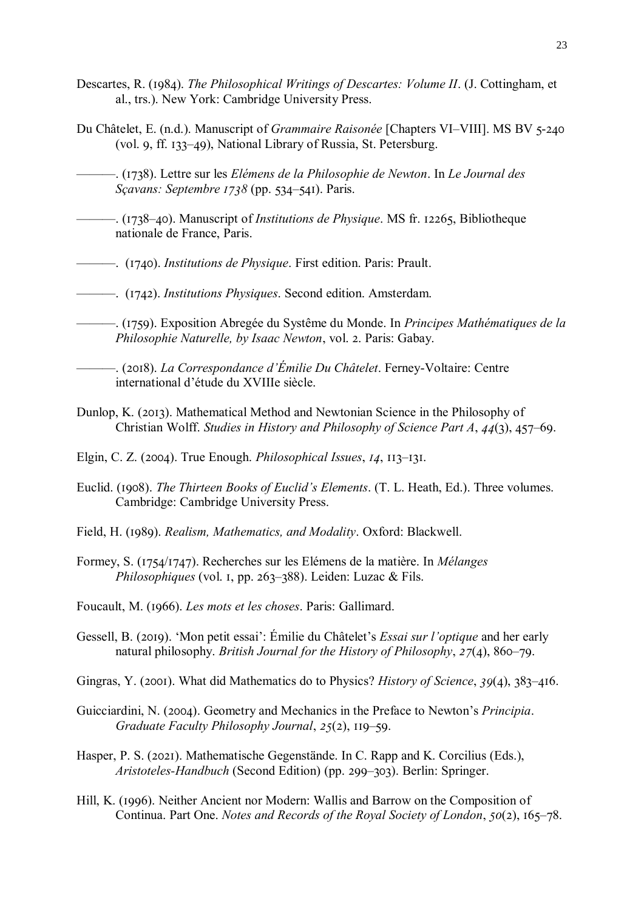- Descartes, R. (1984). *The Philosophical Writings of Descartes: Volume II*. (J. Cottingham, et al., trs.). New York: Cambridge University Press.
- Du Châtelet, E. (n.d.). Manuscript of *Grammaire Raisonée* [Chapters VI–VIII]. MS BV 5-240 (vol. 9, ff. 133–49), National Library of Russia, St. Petersburg.
	- ———. (1738). Lettre sur les *Elémens de la Philosophie de Newton*. In *Le Journal des Sçavans: Septembre 1738* (pp. 534–541). Paris.
- ———. (1738–40). Manuscript of *Institutions de Physique*. MS fr. 12265, Bibliotheque nationale de France, Paris.
- ———. (1740). *Institutions de Physique*. First edition. Paris: Prault.
- ———. (1742). *Institutions Physiques*. Second edition. Amsterdam.
- ———. (1759). Exposition Abregée du Systême du Monde. In *Principes Mathématiques de la Philosophie Naturelle, by Isaac Newton*, vol. 2. Paris: Gabay.
	- ———. (2018). *La Correspondance d'Émilie Du Châtelet*. Ferney-Voltaire: Centre international d'étude du XVIIIe siècle.
- Dunlop, K. (2013). Mathematical Method and Newtonian Science in the Philosophy of Christian Wolff. *Studies in History and Philosophy of Science Part A*, *44*(3), 457–69.
- Elgin, C. Z. (2004). True Enough. *Philosophical Issues*, *14*, 113–131.
- Euclid. (1908). *The Thirteen Books of Euclid's Elements*. (T. L. Heath, Ed.). Three volumes. Cambridge: Cambridge University Press.
- Field, H. (1989). *Realism, Mathematics, and Modality*. Oxford: Blackwell.
- Formey, S. (1754/1747). Recherches sur les Elémens de la matière. In *Mélanges Philosophiques* (vol. 1, pp. 263–388). Leiden: Luzac & Fils.
- Foucault, M. (1966). *Les mots et les choses*. Paris: Gallimard.
- Gessell, B. (2019). 'Mon petit essai': Émilie du Châtelet's *Essai sur l'optique* and her early natural philosophy. *British Journal for the History of Philosophy*, *27*(4), 860–79.
- Gingras, Y. (2001). What did Mathematics do to Physics? *History of Science*, *39*(4), 383–416.
- Guicciardini, N. (2004). Geometry and Mechanics in the Preface to Newton's *Principia*. *Graduate Faculty Philosophy Journal*, *25*(2), 119–59.
- Hasper, P. S. (2021). Mathematische Gegenstände. In C. Rapp and K. Corcilius (Eds.), *Aristoteles-Handbuch* (Second Edition) (pp. 299–303). Berlin: Springer.
- Hill, K. (1996). Neither Ancient nor Modern: Wallis and Barrow on the Composition of Continua. Part One. *Notes and Records of the Royal Society of London*, *50*(2), 165–78.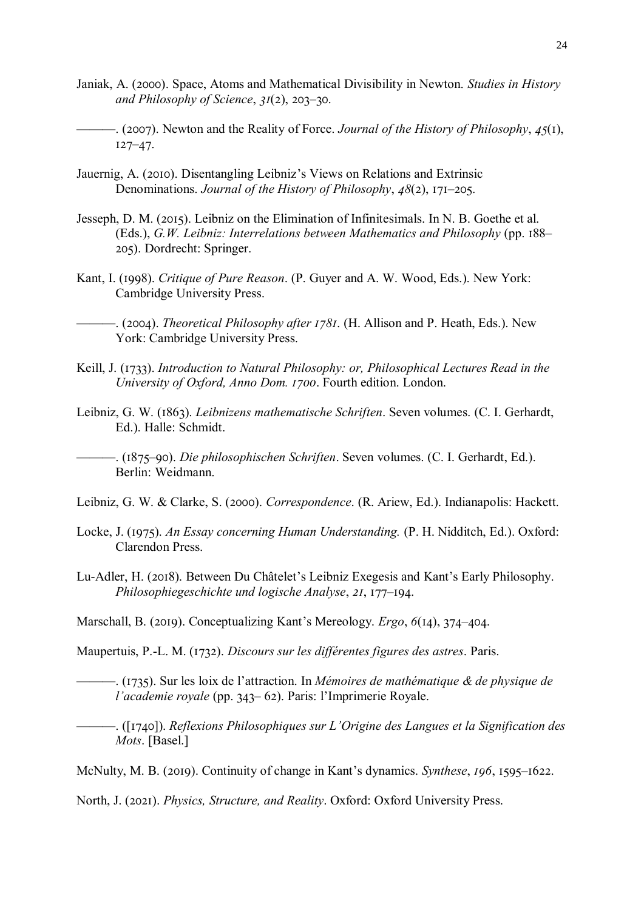- Janiak, A. (2000). Space, Atoms and Mathematical Divisibility in Newton. *Studies in History and Philosophy of Science*, *31*(2), 203–30.
- ———. (2007). Newton and the Reality of Force. *Journal of the History of Philosophy*, *45*(1), 127–47.
- Jauernig, A. (2010). Disentangling Leibniz's Views on Relations and Extrinsic Denominations. *Journal of the History of Philosophy*, *48*(2), 171–205.
- Jesseph, D. M. (2015). Leibniz on the Elimination of Infinitesimals. In N. B. Goethe et al. (Eds.), *G.W. Leibniz: Interrelations between Mathematics and Philosophy* (pp. 188– 205). Dordrecht: Springer.
- Kant, I. (1998). *Critique of Pure Reason*. (P. Guyer and A. W. Wood, Eds.). New York: Cambridge University Press.

———. (2004). *Theoretical Philosophy after 1781*. (H. Allison and P. Heath, Eds.). New York: Cambridge University Press.

- Keill, J. (1733). *Introduction to Natural Philosophy: or, Philosophical Lectures Read in the University of Oxford, Anno Dom. 1700*. Fourth edition. London.
- Leibniz, G. W. (1863). *Leibnizens mathematische Schriften*. Seven volumes. (C. I. Gerhardt, Ed.). Halle: Schmidt.

———. (1875–90). *Die philosophischen Schriften*. Seven volumes. (C. I. Gerhardt, Ed.). Berlin: Weidmann.

Leibniz, G. W. & Clarke, S. (2000). *Correspondence*. (R. Ariew, Ed.). Indianapolis: Hackett.

- Locke, J. (1975). *An Essay concerning Human Understanding.* (P. H. Nidditch, Ed.). Oxford: Clarendon Press.
- Lu-Adler, H. (2018). Between Du Châtelet's Leibniz Exegesis and Kant's Early Philosophy. *Philosophiegeschichte und logische Analyse*, *21*, 177–194.

Marschall, B. (2019). Conceptualizing Kant's Mereology. *Ergo*, *6*(14), 374–404.

Maupertuis, P.-L. M. (1732). *Discours sur les différentes figures des astres*. Paris.

———. (1735). Sur les loix de l'attraction. In *Mémoires de mathématique & de physique de l'academie royale* (pp. 343– 62). Paris: l'Imprimerie Royale.

———. ([1740]). *Reflexions Philosophiques sur L'Origine des Langues et la Signification des Mots*. [Basel.]

McNulty, M. B. (2019). Continuity of change in Kant's dynamics. *Synthese*, *196*, 1595–1622.

North, J. (2021). *Physics, Structure, and Reality*. Oxford: Oxford University Press.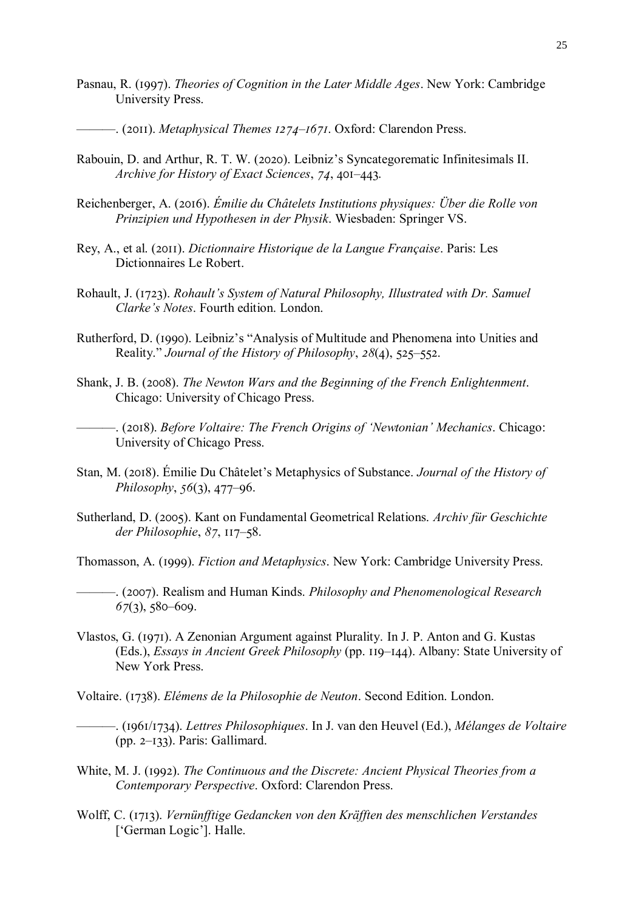- Pasnau, R. (1997). *Theories of Cognition in the Later Middle Ages*. New York: Cambridge University Press.
	- ———. (2011). *Metaphysical Themes 1274–1671*. Oxford: Clarendon Press.
- Rabouin, D. and Arthur, R. T. W. (2020). Leibniz's Syncategorematic Infinitesimals II. *Archive for History of Exact Sciences*, *74*, 401–443.
- Reichenberger, A. (2016). *Émilie du Châtelets Institutions physiques: Über die Rolle von Prinzipien und Hypothesen in der Physik*. Wiesbaden: Springer VS.
- Rey, A., et al. (2011). *Dictionnaire Historique de la Langue Française*. Paris: Les Dictionnaires Le Robert.
- Rohault, J. (1723). *Rohault's System of Natural Philosophy, Illustrated with Dr. Samuel Clarke's Notes*. Fourth edition. London.
- Rutherford, D. (1990). Leibniz's "Analysis of Multitude and Phenomena into Unities and Reality." *Journal of the History of Philosophy*, *28*(4), 525–552.
- Shank, J. B. (2008). *The Newton Wars and the Beginning of the French Enlightenment*. Chicago: University of Chicago Press.
- ———. (2018). *Before Voltaire: The French Origins of 'Newtonian' Mechanics*. Chicago: University of Chicago Press.
- Stan, M. (2018). Émilie Du Châtelet's Metaphysics of Substance. *Journal of the History of Philosophy*, *56*(3), 477–96.
- Sutherland, D. (2005). Kant on Fundamental Geometrical Relations. *Archiv für Geschichte der Philosophie*, *87*, 117–58.
- Thomasson, A. (1999). *Fiction and Metaphysics*. New York: Cambridge University Press.
- ———. (2007). Realism and Human Kinds. *Philosophy and Phenomenological Research 67*(3), 580–609.
- Vlastos, G. (1971). A Zenonian Argument against Plurality. In J. P. Anton and G. Kustas (Eds.), *Essays in Ancient Greek Philosophy* (pp. 119–144). Albany: State University of New York Press.
- Voltaire. (1738). *Elémens de la Philosophie de Neuton*. Second Edition. London.
- ———. (1961/1734). *Lettres Philosophiques*. In J. van den Heuvel (Ed.), *Mélanges de Voltaire* (pp. 2–133). Paris: Gallimard.
- White, M. J. (1992). *The Continuous and the Discrete: Ancient Physical Theories from a Contemporary Perspective*. Oxford: Clarendon Press.
- Wolff, C. (1713). *Vernünfftige Gedancken von den Kräfften des menschlichen Verstandes*  ['German Logic']. Halle.